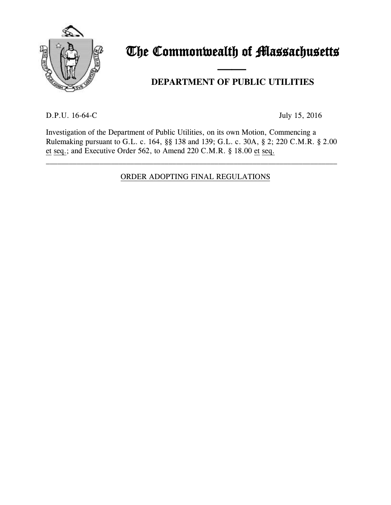

# The Commonwealth of Massachusetts

## and the contract of the contract of **DEPARTMENT OF PUBLIC UTILITIES**

D.P.U. 16-64-C July 15, 2016

Investigation of the Department of Public Utilities, on its own Motion, Commencing a Rulemaking pursuant to G.L. c. 164, §§ 138 and 139; G.L. c. 30A, § 2; 220 C.M.R. § 2.00 et seq.; and Executive Order 562, to Amend 220 C.M.R. § 18.00 et seq.

## ORDER ADOPTING FINAL REGULATIONS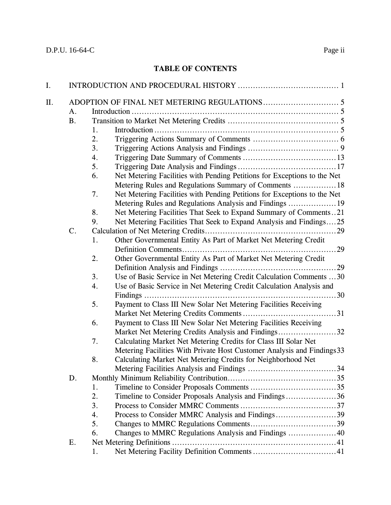## **TABLE OF CONTENTS**

| I.  |                |                                                                                |  |  |  |
|-----|----------------|--------------------------------------------------------------------------------|--|--|--|
| II. | A <sub>1</sub> |                                                                                |  |  |  |
|     | <b>B.</b>      |                                                                                |  |  |  |
|     |                | 1.                                                                             |  |  |  |
|     |                | 2.                                                                             |  |  |  |
|     |                | 3.                                                                             |  |  |  |
|     |                | 4.                                                                             |  |  |  |
|     |                | 5.                                                                             |  |  |  |
|     |                | Net Metering Facilities with Pending Petitions for Exceptions to the Net<br>6. |  |  |  |
|     |                | Metering Rules and Regulations Summary of Comments  18                         |  |  |  |
|     |                | Net Metering Facilities with Pending Petitions for Exceptions to the Net<br>7. |  |  |  |
|     |                | Metering Rules and Regulations Analysis and Findings  19                       |  |  |  |
|     |                | Net Metering Facilities That Seek to Expand Summary of Comments21<br>8.        |  |  |  |
|     |                | Net Metering Facilities That Seek to Expand Analysis and Findings25<br>9.      |  |  |  |
|     | $\mathsf{C}.$  |                                                                                |  |  |  |
|     |                | Other Governmental Entity As Part of Market Net Metering Credit<br>1.          |  |  |  |
|     |                |                                                                                |  |  |  |
|     |                | 2.<br>Other Governmental Entity As Part of Market Net Metering Credit          |  |  |  |
|     |                |                                                                                |  |  |  |
|     |                | Use of Basic Service in Net Metering Credit Calculation Comments 30<br>3.      |  |  |  |
|     |                | Use of Basic Service in Net Metering Credit Calculation Analysis and<br>4.     |  |  |  |
|     |                |                                                                                |  |  |  |
|     |                | 5.<br>Payment to Class III New Solar Net Metering Facilities Receiving         |  |  |  |
|     |                |                                                                                |  |  |  |
|     |                | Payment to Class III New Solar Net Metering Facilities Receiving<br>6.         |  |  |  |
|     |                | Market Net Metering Credits Analysis and Findings32                            |  |  |  |
|     |                | Calculating Market Net Metering Credits for Class III Solar Net<br>7.          |  |  |  |
|     |                | Metering Facilities With Private Host Customer Analysis and Findings 33        |  |  |  |
|     |                | Calculating Market Net Metering Credits for Neighborhood Net<br>8.             |  |  |  |
|     |                |                                                                                |  |  |  |
|     | D.             |                                                                                |  |  |  |
|     |                | 1.                                                                             |  |  |  |
|     |                | 2.<br>Timeline to Consider Proposals Analysis and Findings36                   |  |  |  |
|     |                | 3.                                                                             |  |  |  |
|     |                | Process to Consider MMRC Analysis and Findings39<br>4.                         |  |  |  |
|     |                | 5.                                                                             |  |  |  |
|     |                | Changes to MMRC Regulations Analysis and Findings 40<br>6.                     |  |  |  |
|     | Ε.             |                                                                                |  |  |  |
|     |                | 1.                                                                             |  |  |  |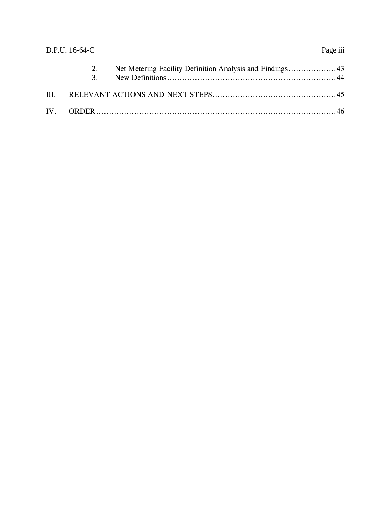|      | D.P.U. 16-64-C       |  |  |  |  |
|------|----------------------|--|--|--|--|
|      | 2.<br>3 <sub>1</sub> |  |  |  |  |
| III. |                      |  |  |  |  |
|      |                      |  |  |  |  |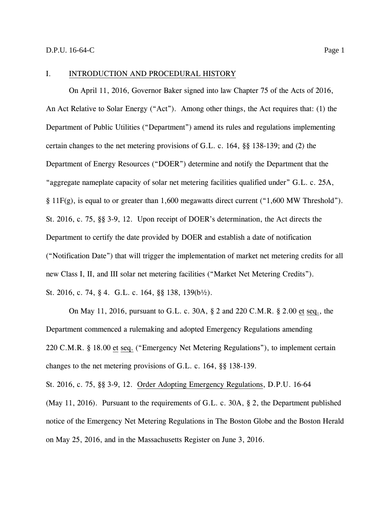#### <span id="page-3-0"></span>I. INTRODUCTION AND PROCEDURAL HISTORY

On April 11, 2016, Governor Baker signed into law Chapter 75 of the Acts of 2016, An Act Relative to Solar Energy ("Act"). Among other things, the Act requires that: (1) the Department of Public Utilities ("Department") amend its rules and regulations implementing certain changes to the net metering provisions of G.L. c. 164, §§ 138-139; and (2) the Department of Energy Resources ("DOER") determine and notify the Department that the "aggregate nameplate capacity of solar net metering facilities qualified under" G.L. c. 25A, § 11 $F(g)$ , is equal to or greater than 1,600 megawatts direct current ("1,600 MW Threshold"). St. 2016, c. 75, §§ 3-9, 12. Upon receipt of DOER's determination, the Act directs the Department to certify the date provided by DOER and establish a date of notification ("Notification Date") that will trigger the implementation of market net metering credits for all new Class I, II, and III solar net metering facilities ("Market Net Metering Credits"). St. 2016, c. 74, § 4. G.L. c. 164, §§ 138, 139(b½).

On May 11, 2016, pursuant to G.L. c. 30A, § 2 and 220 C.M.R. § 2.00 et seq., the Department commenced a rulemaking and adopted Emergency Regulations amending 220 C.M.R. § 18.00 et seq. ("Emergency Net Metering Regulations"), to implement certain changes to the net metering provisions of G.L. c. 164, §§ 138-139.

St. 2016, c. 75, §§ 3-9, 12. Order Adopting Emergency Regulations, D.P.U. 16-64

(May 11, 2016). Pursuant to the requirements of G.L. c. 30A, § 2, the Department published notice of the Emergency Net Metering Regulations in The Boston Globe and the Boston Herald on May 25, 2016, and in the Massachusetts Register on June 3, 2016.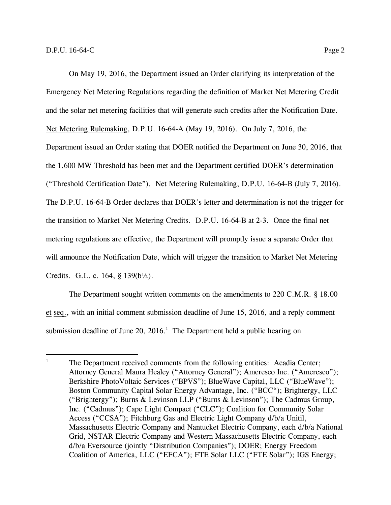On May 19, 2016, the Department issued an Order clarifying its interpretation of the Emergency Net Metering Regulations regarding the definition of Market Net Metering Credit and the solar net metering facilities that will generate such credits after the Notification Date. Net Metering Rulemaking, D.P.U. 16-64-A (May 19, 2016). On July 7, 2016, the Department issued an Order stating that DOER notified the Department on June 30, 2016, that the 1,600 MW Threshold has been met and the Department certified DOER's determination ("Threshold Certification Date"). Net Metering Rulemaking, D.P.U. 16-64-B (July 7, 2016). The D.P.U. 16-64-B Order declares that DOER's letter and determination is not the trigger for the transition to Market Net Metering Credits. D.P.U. 16-64-B at 2-3. Once the final net metering regulations are effective, the Department will promptly issue a separate Order that will announce the Notification Date, which will trigger the transition to Market Net Metering Credits. G.L. c. 164, § 139(b½).

The Department sought written comments on the amendments to 220 C.M.R. § 18.00 et seq., with an initial comment submission deadline of June 15, 2016, and a reply comment submission deadline of June 20,  $2016<sup>1</sup>$ . The Department held a public hearing on

<sup>&</sup>lt;sup>1</sup> The Department received comments from the following entities: Acadia Center; Attorney General Maura Healey ("Attorney General"); Ameresco Inc. ("Ameresco"); Berkshire PhotoVoltaic Services ("BPVS"); BlueWave Capital, LLC ("BlueWave"); Boston Community Capital Solar Energy Advantage, Inc. ("BCC"); Brightergy, LLC ("Brightergy"); Burns & Levinson LLP ("Burns & Levinson"); The Cadmus Group, Inc. ("Cadmus"); Cape Light Compact ("CLC"); Coalition for Community Solar Access ("CCSA"); Fitchburg Gas and Electric Light Company d/b/a Unitil, Massachusetts Electric Company and Nantucket Electric Company, each d/b/a National Grid, NSTAR Electric Company and Western Massachusetts Electric Company, each d/b/a Eversource (jointly "Distribution Companies"); DOER; Energy Freedom Coalition of America, LLC ("EFCA"); FTE Solar LLC ("FTE Solar"); IGS Energy;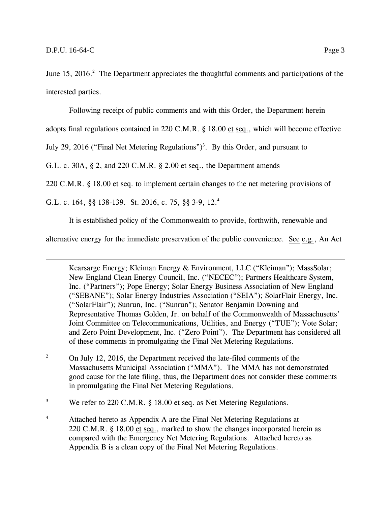June 15, 2016.<sup>2</sup> The Department appreciates the thoughtful comments and participations of the interested parties.

Following receipt of public comments and with this Order, the Department herein

adopts final regulations contained in 220 C.M.R. § 18.00 et seq., which will become effective

July 29, 2016 ("Final Net Metering Regulations")<sup>3</sup>. By this Order, and pursuant to

G.L. c. 30A, § 2, and 220 C.M.R. § 2.00 et seq., the Department amends

220 C.M.R. § 18.00 et seq. to implement certain changes to the net metering provisions of

G.L. c. 164, §§ 138-139. St. 2016, c. 75, §§ 3-9, 12.<sup>4</sup>

It is established policy of the Commonwealth to provide, forthwith, renewable and

alternative energy for the immediate preservation of the public convenience. See e.g., An Act

Kearsarge Energy; Kleiman Energy & Environment, LLC ("Kleiman"); MassSolar; New England Clean Energy Council, Inc. ("NECEC"); Partners Healthcare System, Inc. ("Partners"); Pope Energy; Solar Energy Business Association of New England ("SEBANE"); Solar Energy Industries Association ("SEIA"); SolarFlair Energy, Inc. ("SolarFlair"); Sunrun, Inc. ("Sunrun"); Senator Benjamin Downing and Representative Thomas Golden, Jr. on behalf of the Commonwealth of Massachusetts' Joint Committee on Telecommunications, Utilities, and Energy ("TUE"); Vote Solar; and Zero Point Development, Inc. ("Zero Point"). The Department has considered all of these comments in promulgating the Final Net Metering Regulations.

<sup>2</sup> On July 12, 2016, the Department received the late-filed comments of the Massachusetts Municipal Association ("MMA"). The MMA has not demonstrated good cause for the late filing, thus, the Department does not consider these comments in promulgating the Final Net Metering Regulations.

<sup>3</sup> We refer to 220 C.M.R. § 18.00 et seq. as Net Metering Regulations.

<sup>4</sup> Attached hereto as Appendix A are the Final Net Metering Regulations at 220 C.M.R. § 18.00 et seq., marked to show the changes incorporated herein as compared with the Emergency Net Metering Regulations. Attached hereto as Appendix B is a clean copy of the Final Net Metering Regulations.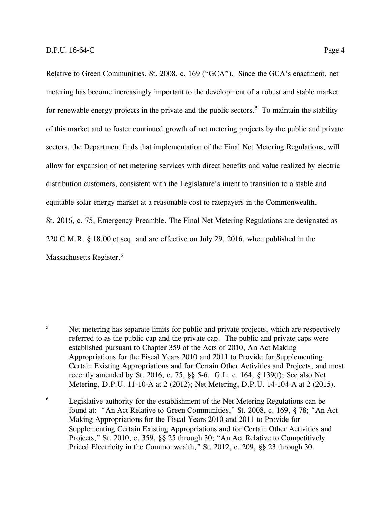Relative to Green Communities, St. 2008, c. 169 ("GCA"). Since the GCA's enactment, net metering has become increasingly important to the development of a robust and stable market for renewable energy projects in the private and the public sectors.<sup>5</sup> To maintain the stability of this market and to foster continued growth of net metering projects by the public and private sectors, the Department finds that implementation of the Final Net Metering Regulations, will allow for expansion of net metering services with direct benefits and value realized by electric distribution customers, consistent with the Legislature's intent to transition to a stable and equitable solar energy market at a reasonable cost to ratepayers in the Commonwealth. St. 2016, c. 75, Emergency Preamble. The Final Net Metering Regulations are designated as 220 C.M.R. § 18.00 et seq. and are effective on July 29, 2016, when published in the Massachusetts Register.<sup>6</sup>

<sup>&</sup>lt;sup>5</sup> Net metering has separate limits for public and private projects, which are respectively referred to as the public cap and the private cap. The public and private caps were established pursuant to Chapter 359 of the Acts of 2010, An Act Making Appropriations for the Fiscal Years 2010 and 2011 to Provide for Supplementing Certain Existing Appropriations and for Certain Other Activities and Projects, and most recently amended by St. 2016, c. 75, §§ 5-6. G.L. c. 164, § 139(f); See also Net Metering, D.P.U. 11-10-A at 2 (2012); Net Metering, D.P.U. 14-104-A at 2 (2015).

 $6$  Legislative authority for the establishment of the Net Metering Regulations can be found at: "An Act Relative to Green Communities," St. 2008, c. 169, § 78; "An Act Making Appropriations for the Fiscal Years 2010 and 2011 to Provide for Supplementing Certain Existing Appropriations and for Certain Other Activities and Projects," St. 2010, c. 359, §§ 25 through 30; "An Act Relative to Competitively Priced Electricity in the Commonwealth," St. 2012, c. 209, §§ 23 through 30.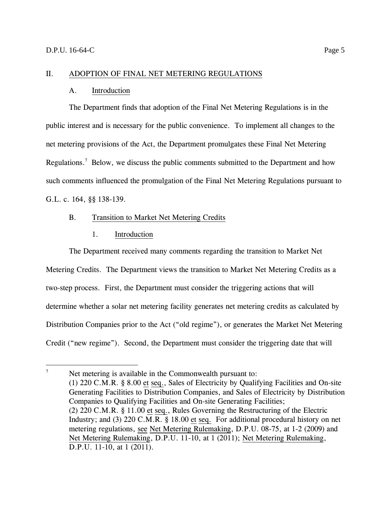#### <span id="page-7-1"></span><span id="page-7-0"></span>II. ADOPTION OF FINAL NET METERING REGULATIONS

#### A. Introduction

The Department finds that adoption of the Final Net Metering Regulations is in the public interest and is necessary for the public convenience. To implement all changes to the net metering provisions of the Act, the Department promulgates these Final Net Metering Regulations.<sup>7</sup> Below, we discuss the public comments submitted to the Department and how such comments influenced the promulgation of the Final Net Metering Regulations pursuant to G.L. c. 164, §§ 138-139.

#### <span id="page-7-2"></span>B. Transition to Market Net Metering Credits

## 1. Introduction

<span id="page-7-3"></span>The Department received many comments regarding the transition to Market Net Metering Credits. The Department views the transition to Market Net Metering Credits as a two-step process. First, the Department must consider the triggering actions that will determine whether a solar net metering facility generates net metering credits as calculated by Distribution Companies prior to the Act ("old regime"), or generates the Market Net Metering Credit ("new regime"). Second, the Department must consider the triggering date that will

<sup>&</sup>lt;sup>7</sup> Net metering is available in the Commonwealth pursuant to: (1) 220 C.M.R. § 8.00 et seq., Sales of Electricity by Qualifying Facilities and On-site Generating Facilities to Distribution Companies, and Sales of Electricity by Distribution Companies to Qualifying Facilities and On-site Generating Facilities; (2) 220 C.M.R. § 11.00 et seq., Rules Governing the Restructuring of the Electric Industry; and (3) 220 C.M.R. § 18.00 et seq. For additional procedural history on net metering regulations, see Net Metering Rulemaking, D.P.U. 08-75, at 1-2 (2009) and Net Metering Rulemaking, D.P.U. 11-10, at 1 (2011); Net Metering Rulemaking, D.P.U. 11-10, at 1 (2011).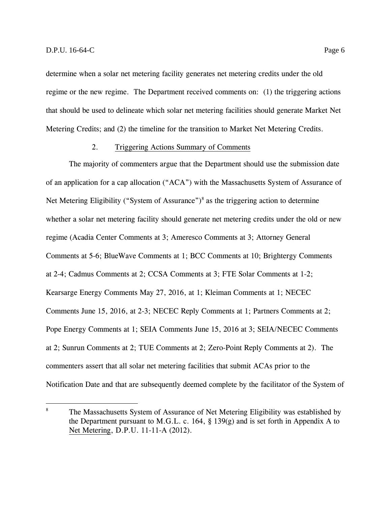determine when a solar net metering facility generates net metering credits under the old regime or the new regime. The Department received comments on: (1) the triggering actions that should be used to delineate which solar net metering facilities should generate Market Net Metering Credits; and (2) the timeline for the transition to Market Net Metering Credits.

#### 2. Triggering Actions Summary of Comments

<span id="page-8-0"></span>The majority of commenters argue that the Department should use the submission date of an application for a cap allocation ("ACA") with the Massachusetts System of Assurance of Net Metering Eligibility ("System of Assurance")<sup>8</sup> as the triggering action to determine whether a solar net metering facility should generate net metering credits under the old or new regime (Acadia Center Comments at 3; Ameresco Comments at 3; Attorney General Comments at 5-6; BlueWave Comments at 1; BCC Comments at 10; Brightergy Comments at 2-4; Cadmus Comments at 2; CCSA Comments at 3; FTE Solar Comments at 1-2; Kearsarge Energy Comments May 27, 2016, at 1; Kleiman Comments at 1; NECEC Comments June 15, 2016, at 2-3; NECEC Reply Comments at 1; Partners Comments at 2; Pope Energy Comments at 1; SEIA Comments June 15, 2016 at 3; SEIA/NECEC Comments at 2; Sunrun Comments at 2; TUE Comments at 2; Zero-Point Reply Comments at 2). The commenters assert that all solar net metering facilities that submit ACAs prior to the Notification Date and that are subsequently deemed complete by the facilitator of the System of

<sup>&</sup>lt;sup>8</sup> The Massachusetts System of Assurance of Net Metering Eligibility was established by the Department pursuant to M.G.L. c. 164, § 139(g) and is set forth in Appendix A to Net Metering, D.P.U. 11-11-A (2012).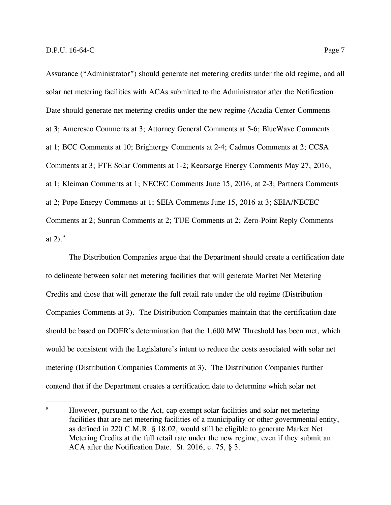Assurance ("Administrator") should generate net metering credits under the old regime, and all solar net metering facilities with ACAs submitted to the Administrator after the Notification Date should generate net metering credits under the new regime (Acadia Center Comments at 3; Ameresco Comments at 3; Attorney General Comments at 5-6; BlueWave Comments at 1; BCC Comments at 10; Brightergy Comments at 2-4; Cadmus Comments at 2; CCSA Comments at 3; FTE Solar Comments at 1-2; Kearsarge Energy Comments May 27, 2016, at 1; Kleiman Comments at 1; NECEC Comments June 15, 2016, at 2-3; Partners Comments at 2; Pope Energy Comments at 1; SEIA Comments June 15, 2016 at 3; SEIA/NECEC Comments at 2; Sunrun Comments at 2; TUE Comments at 2; Zero-Point Reply Comments at 2). $9$ 

The Distribution Companies argue that the Department should create a certification date to delineate between solar net metering facilities that will generate Market Net Metering Credits and those that will generate the full retail rate under the old regime (Distribution Companies Comments at 3). The Distribution Companies maintain that the certification date should be based on DOER's determination that the 1,600 MW Threshold has been met, which would be consistent with the Legislature's intent to reduce the costs associated with solar net metering (Distribution Companies Comments at 3). The Distribution Companies further contend that if the Department creates a certification date to determine which solar net

<sup>&</sup>lt;sup>9</sup> However, pursuant to the Act, cap exempt solar facilities and solar net metering facilities that are net metering facilities of a municipality or other governmental entity, as defined in 220 C.M.R. § 18.02, would still be eligible to generate Market Net Metering Credits at the full retail rate under the new regime, even if they submit an ACA after the Notification Date. St. 2016, c. 75, § 3.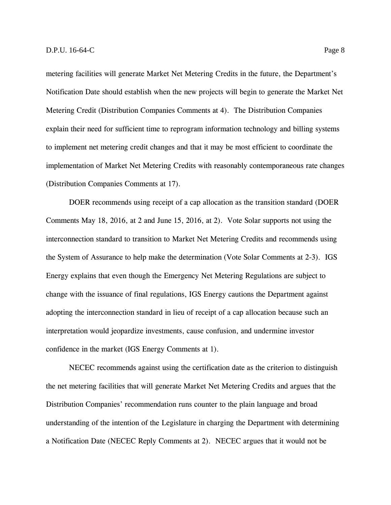metering facilities will generate Market Net Metering Credits in the future, the Department's Notification Date should establish when the new projects will begin to generate the Market Net Metering Credit (Distribution Companies Comments at 4). The Distribution Companies explain their need for sufficient time to reprogram information technology and billing systems to implement net metering credit changes and that it may be most efficient to coordinate the implementation of Market Net Metering Credits with reasonably contemporaneous rate changes (Distribution Companies Comments at 17).

DOER recommends using receipt of a cap allocation as the transition standard (DOER Comments May 18, 2016, at 2 and June 15, 2016, at 2). Vote Solar supports not using the interconnection standard to transition to Market Net Metering Credits and recommends using the System of Assurance to help make the determination (Vote Solar Comments at 2-3). IGS Energy explains that even though the Emergency Net Metering Regulations are subject to change with the issuance of final regulations, IGS Energy cautions the Department against adopting the interconnection standard in lieu of receipt of a cap allocation because such an interpretation would jeopardize investments, cause confusion, and undermine investor confidence in the market (IGS Energy Comments at 1).

NECEC recommends against using the certification date as the criterion to distinguish the net metering facilities that will generate Market Net Metering Credits and argues that the Distribution Companies' recommendation runs counter to the plain language and broad understanding of the intention of the Legislature in charging the Department with determining a Notification Date (NECEC Reply Comments at 2). NECEC argues that it would not be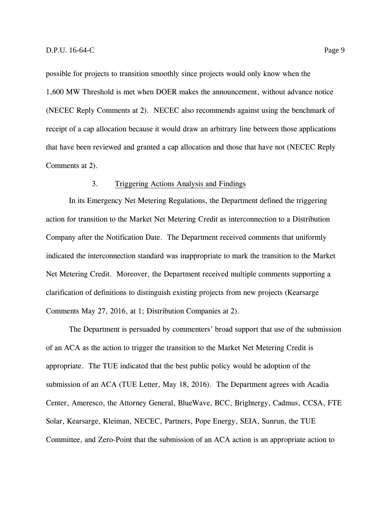possible for projects to transition smoothly since projects would only know when the 1,600 MW Threshold is met when DOER makes the announcement, without advance notice (NECEC Reply Comments at 2). NECEC also recommends against using the benchmark of receipt of a cap allocation because it would draw an arbitrary line between those applications that have been reviewed and granted a cap allocation and those that have not (NECEC Reply Comments at 2).

#### 3. Triggering Actions Analysis and Findings

<span id="page-11-0"></span>In its Emergency Net Metering Regulations, the Department defined the triggering action for transition to the Market Net Metering Credit as interconnection to a Distribution Company after the Notification Date. The Department received comments that uniformly indicated the interconnection standard was inappropriate to mark the transition to the Market Net Metering Credit. Moreover, the Department received multiple comments supporting a clarification of definitions to distinguish existing projects from new projects (Kearsarge Comments May 27, 2016, at 1; Distribution Companies at 2).

The Department is persuaded by commenters' broad support that use of the submission of an ACA as the action to trigger the transition to the Market Net Metering Credit is appropriate. The TUE indicated that the best public policy would be adoption of the submission of an ACA (TUE Letter, May 18, 2016). The Department agrees with Acadia Center, Ameresco, the Attorney General, BlueWave, BCC, Brightergy, Cadmus, CCSA, FTE Solar, Kearsarge, Kleiman, NECEC, Partners, Pope Energy, SEIA, Sunrun, the TUE Committee, and Zero-Point that the submission of an ACA action is an appropriate action to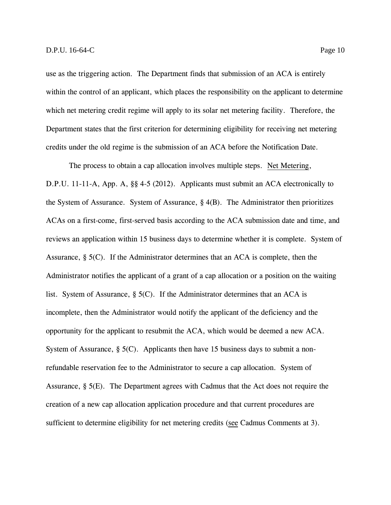use as the triggering action. The Department finds that submission of an ACA is entirely within the control of an applicant, which places the responsibility on the applicant to determine which net metering credit regime will apply to its solar net metering facility. Therefore, the Department states that the first criterion for determining eligibility for receiving net metering credits under the old regime is the submission of an ACA before the Notification Date.

The process to obtain a cap allocation involves multiple steps. Net Metering, D.P.U. 11-11-A, App. A, §§ 4-5 (2012). Applicants must submit an ACA electronically to the System of Assurance. System of Assurance, § 4(B). The Administrator then prioritizes ACAs on a first-come, first-served basis according to the ACA submission date and time, and reviews an application within 15 business days to determine whether it is complete. System of Assurance, § 5(C). If the Administrator determines that an ACA is complete, then the Administrator notifies the applicant of a grant of a cap allocation or a position on the waiting list. System of Assurance, § 5(C). If the Administrator determines that an ACA is incomplete, then the Administrator would notify the applicant of the deficiency and the opportunity for the applicant to resubmit the ACA, which would be deemed a new ACA. System of Assurance,  $\S$  5(C). Applicants then have 15 business days to submit a nonrefundable reservation fee to the Administrator to secure a cap allocation. System of Assurance, § 5(E). The Department agrees with Cadmus that the Act does not require the creation of a new cap allocation application procedure and that current procedures are sufficient to determine eligibility for net metering credits (see Cadmus Comments at 3).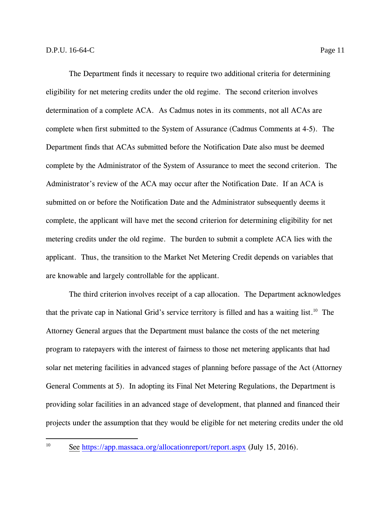The Department finds it necessary to require two additional criteria for determining eligibility for net metering credits under the old regime. The second criterion involves determination of a complete ACA. As Cadmus notes in its comments, not all ACAs are complete when first submitted to the System of Assurance (Cadmus Comments at 4-5). The Department finds that ACAs submitted before the Notification Date also must be deemed complete by the Administrator of the System of Assurance to meet the second criterion. The Administrator's review of the ACA may occur after the Notification Date. If an ACA is submitted on or before the Notification Date and the Administrator subsequently deems it complete, the applicant will have met the second criterion for determining eligibility for net metering credits under the old regime. The burden to submit a complete ACA lies with the applicant. Thus, the transition to the Market Net Metering Credit depends on variables that are knowable and largely controllable for the applicant.

The third criterion involves receipt of a cap allocation. The Department acknowledges that the private cap in National Grid's service territory is filled and has a waiting list.<sup>10</sup> The Attorney General argues that the Department must balance the costs of the net metering program to ratepayers with the interest of fairness to those net metering applicants that had solar net metering facilities in advanced stages of planning before passage of the Act (Attorney General Comments at 5). In adopting its Final Net Metering Regulations, the Department is providing solar facilities in an advanced stage of development, that planned and financed their projects under the assumption that they would be eligible for net metering credits under the old

<sup>&</sup>lt;sup>10</sup> See <https://app.massaca.org/allocationreport/report.aspx> (July 15, 2016).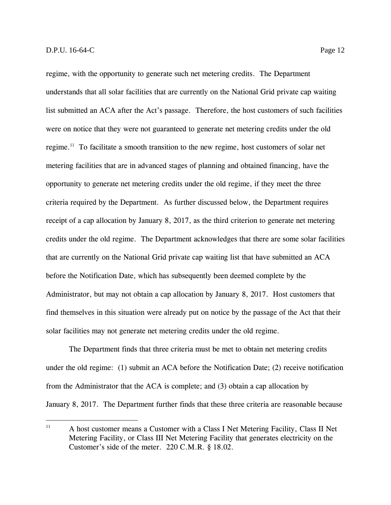regime, with the opportunity to generate such net metering credits. The Department understands that all solar facilities that are currently on the National Grid private cap waiting list submitted an ACA after the Act's passage. Therefore, the host customers of such facilities were on notice that they were not guaranteed to generate net metering credits under the old regime.<sup>11</sup> To facilitate a smooth transition to the new regime, host customers of solar net metering facilities that are in advanced stages of planning and obtained financing, have the opportunity to generate net metering credits under the old regime, if they meet the three criteria required by the Department. As further discussed below, the Department requires receipt of a cap allocation by January 8, 2017, as the third criterion to generate net metering credits under the old regime. The Department acknowledges that there are some solar facilities that are currently on the National Grid private cap waiting list that have submitted an ACA before the Notification Date, which has subsequently been deemed complete by the Administrator, but may not obtain a cap allocation by January 8, 2017. Host customers that find themselves in this situation were already put on notice by the passage of the Act that their solar facilities may not generate net metering credits under the old regime.

The Department finds that three criteria must be met to obtain net metering credits under the old regime: (1) submit an ACA before the Notification Date; (2) receive notification from the Administrator that the ACA is complete; and (3) obtain a cap allocation by January 8, 2017. The Department further finds that these three criteria are reasonable because

<sup>&</sup>lt;sup>11</sup> A host customer means a Customer with a Class I Net Metering Facility, Class II Net Metering Facility, or Class III Net Metering Facility that generates electricity on the Customer's side of the meter. 220 C.M.R. § 18.02.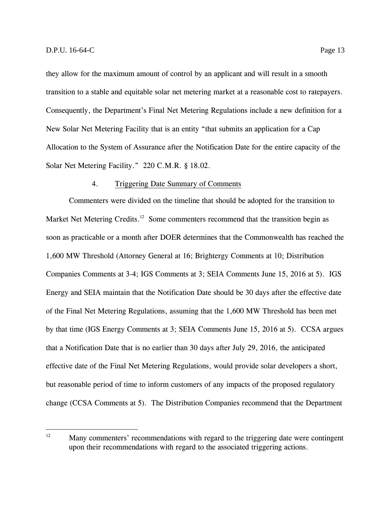they allow for the maximum amount of control by an applicant and will result in a smooth transition to a stable and equitable solar net metering market at a reasonable cost to ratepayers. Consequently, the Department's Final Net Metering Regulations include a new definition for a New Solar Net Metering Facility that is an entity "that submits an application for a Cap Allocation to the System of Assurance after the Notification Date for the entire capacity of the Solar Net Metering Facility." 220 C.M.R. § 18.02.

#### 4. Triggering Date Summary of Comments

<span id="page-15-0"></span>Commenters were divided on the timeline that should be adopted for the transition to Market Net Metering Credits.<sup>12</sup> Some commenters recommend that the transition begin as soon as practicable or a month after DOER determines that the Commonwealth has reached the 1,600 MW Threshold (Attorney General at 16; Brightergy Comments at 10; Distribution Companies Comments at 3-4; IGS Comments at 3; SEIA Comments June 15, 2016 at 5). IGS Energy and SEIA maintain that the Notification Date should be 30 days after the effective date of the Final Net Metering Regulations, assuming that the 1,600 MW Threshold has been met by that time (IGS Energy Comments at 3; SEIA Comments June 15, 2016 at 5). CCSA argues that a Notification Date that is no earlier than 30 days after July 29, 2016, the anticipated effective date of the Final Net Metering Regulations, would provide solar developers a short, but reasonable period of time to inform customers of any impacts of the proposed regulatory change (CCSA Comments at 5). The Distribution Companies recommend that the Department

 $12 \overline{ }$ Many commenters' recommendations with regard to the triggering date were contingent upon their recommendations with regard to the associated triggering actions.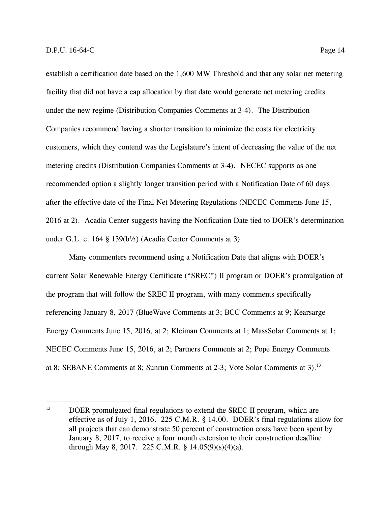establish a certification date based on the 1,600 MW Threshold and that any solar net metering facility that did not have a cap allocation by that date would generate net metering credits under the new regime (Distribution Companies Comments at 3-4). The Distribution Companies recommend having a shorter transition to minimize the costs for electricity customers, which they contend was the Legislature's intent of decreasing the value of the net metering credits (Distribution Companies Comments at 3-4). NECEC supports as one recommended option a slightly longer transition period with a Notification Date of 60 days after the effective date of the Final Net Metering Regulations (NECEC Comments June 15, 2016 at 2). Acadia Center suggests having the Notification Date tied to DOER's determination under G.L. c. 164 § 139(b½) (Acadia Center Comments at 3).

Many commenters recommend using a Notification Date that aligns with DOER's current Solar Renewable Energy Certificate ("SREC") II program or DOER's promulgation of the program that will follow the SREC II program, with many comments specifically referencing January 8, 2017 (BlueWave Comments at 3; BCC Comments at 9; Kearsarge Energy Comments June 15, 2016, at 2; Kleiman Comments at 1; MassSolar Comments at 1; NECEC Comments June 15, 2016, at 2; Partners Comments at 2; Pope Energy Comments at 8; SEBANE Comments at 8; Sunrun Comments at 2-3; Vote Solar Comments at 3).<sup>13</sup>

<sup>&</sup>lt;sup>13</sup> DOER promulgated final regulations to extend the SREC II program, which are effective as of July 1, 2016. 225 C.M.R. § 14.00. DOER's final regulations allow for all projects that can demonstrate 50 percent of construction costs have been spent by January 8, 2017, to receive a four month extension to their construction deadline through May 8, 2017. 225 C.M.R. §  $14.05(9)(s)(4)(a)$ .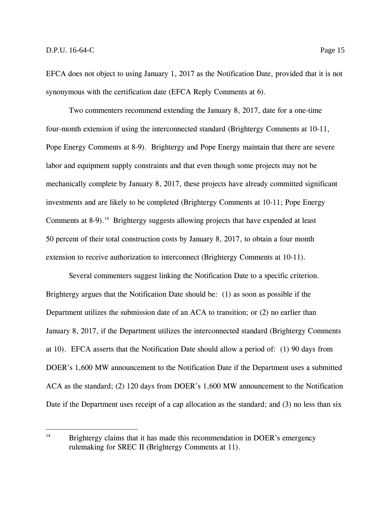EFCA does not object to using January 1, 2017 as the Notification Date, provided that it is not synonymous with the certification date (EFCA Reply Comments at 6).

Two commenters recommend extending the January 8, 2017, date for a one-time four-month extension if using the interconnected standard (Brightergy Comments at 10-11, Pope Energy Comments at 8-9). Brightergy and Pope Energy maintain that there are severe labor and equipment supply constraints and that even though some projects may not be mechanically complete by January 8, 2017, these projects have already committed significant investments and are likely to be completed (Brightergy Comments at 10-11; Pope Energy Comments at  $8-9$ ).<sup>14</sup> Brightergy suggests allowing projects that have expended at least 50 percent of their total construction costs by January 8, 2017, to obtain a four month extension to receive authorization to interconnect (Brightergy Comments at 10-11).

Several commenters suggest linking the Notification Date to a specific criterion. Brightergy argues that the Notification Date should be: (1) as soon as possible if the Department utilizes the submission date of an ACA to transition; or (2) no earlier than January 8, 2017, if the Department utilizes the interconnected standard (Brightergy Comments at 10). EFCA asserts that the Notification Date should allow a period of: (1) 90 days from DOER's 1,600 MW announcement to the Notification Date if the Department uses a submitted ACA as the standard; (2) 120 days from DOER's 1,600 MW announcement to the Notification Date if the Department uses receipt of a cap allocation as the standard; and (3) no less than six

 $14$ <sup>14</sup> Brightergy claims that it has made this recommendation in DOER's emergency rulemaking for SREC II (Brightergy Comments at 11).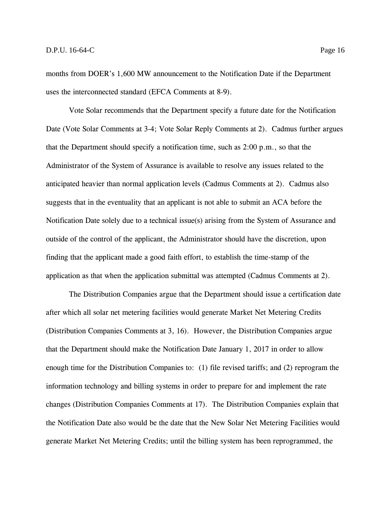months from DOER's 1,600 MW announcement to the Notification Date if the Department uses the interconnected standard (EFCA Comments at 8-9).

Vote Solar recommends that the Department specify a future date for the Notification Date (Vote Solar Comments at 3-4; Vote Solar Reply Comments at 2). Cadmus further argues that the Department should specify a notification time, such as 2:00 p.m., so that the Administrator of the System of Assurance is available to resolve any issues related to the anticipated heavier than normal application levels (Cadmus Comments at 2). Cadmus also suggests that in the eventuality that an applicant is not able to submit an ACA before the Notification Date solely due to a technical issue(s) arising from the System of Assurance and outside of the control of the applicant, the Administrator should have the discretion, upon finding that the applicant made a good faith effort, to establish the time-stamp of the application as that when the application submittal was attempted (Cadmus Comments at 2).

The Distribution Companies argue that the Department should issue a certification date after which all solar net metering facilities would generate Market Net Metering Credits (Distribution Companies Comments at 3, 16). However, the Distribution Companies argue that the Department should make the Notification Date January 1, 2017 in order to allow enough time for the Distribution Companies to: (1) file revised tariffs; and (2) reprogram the information technology and billing systems in order to prepare for and implement the rate changes (Distribution Companies Comments at 17). The Distribution Companies explain that the Notification Date also would be the date that the New Solar Net Metering Facilities would generate Market Net Metering Credits; until the billing system has been reprogrammed, the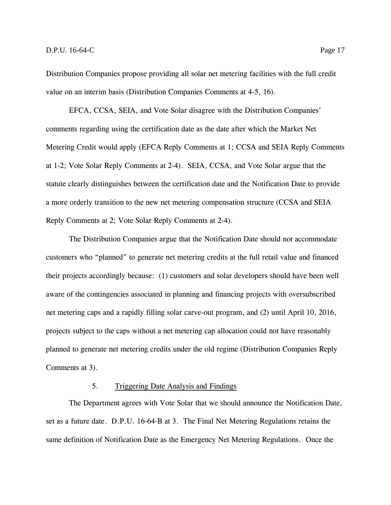Distribution Companies propose providing all solar net metering facilities with the full credit value on an interim basis (Distribution Companies Comments at 4-5, 16).

EFCA, CCSA, SEIA, and Vote Solar disagree with the Distribution Companies' comments regarding using the certification date as the date after which the Market Net Metering Credit would apply (EFCA Reply Comments at 1; CCSA and SEIA Reply Comments at 1-2; Vote Solar Reply Comments at 2-4). SEIA, CCSA, and Vote Solar argue that the statute clearly distinguishes between the certification date and the Notification Date to provide a more orderly transition to the new net metering compensation structure (CCSA and SEIA Reply Comments at 2; Vote Solar Reply Comments at 2-4).

The Distribution Companies argue that the Notification Date should not accommodate customers who "planned" to generate net metering credits at the full retail value and financed their projects accordingly because: (1) customers and solar developers should have been well aware of the contingencies associated in planning and financing projects with oversubscribed net metering caps and a rapidly filling solar carve-out program, and (2) until April 10, 2016, projects subject to the caps without a net metering cap allocation could not have reasonably planned to generate net metering credits under the old regime (Distribution Companies Reply Comments at 3).

#### 5. Triggering Date Analysis and Findings

<span id="page-19-0"></span>The Department agrees with Vote Solar that we should announce the Notification Date, set as a future date. D.P.U. 16-64-B at 3. The Final Net Metering Regulations retains the same definition of Notification Date as the Emergency Net Metering Regulations. Once the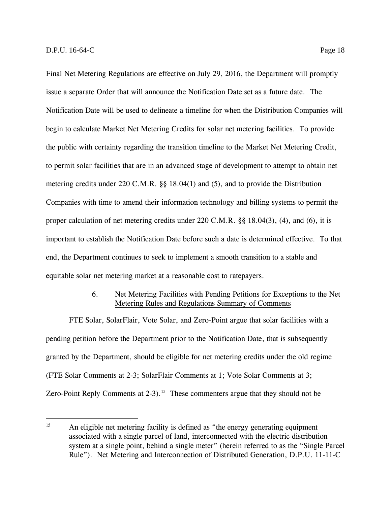Final Net Metering Regulations are effective on July 29, 2016, the Department will promptly issue a separate Order that will announce the Notification Date set as a future date. The Notification Date will be used to delineate a timeline for when the Distribution Companies will begin to calculate Market Net Metering Credits for solar net metering facilities. To provide the public with certainty regarding the transition timeline to the Market Net Metering Credit, to permit solar facilities that are in an advanced stage of development to attempt to obtain net metering credits under 220 C.M.R. §§ 18.04(1) and (5), and to provide the Distribution Companies with time to amend their information technology and billing systems to permit the proper calculation of net metering credits under 220 C.M.R. §§ 18.04(3), (4), and (6), it is important to establish the Notification Date before such a date is determined effective. To that end, the Department continues to seek to implement a smooth transition to a stable and equitable solar net metering market at a reasonable cost to ratepayers.

#### 6. Net Metering Facilities with Pending Petitions for Exceptions to the Net Metering Rules and Regulations Summary of Comments

<span id="page-20-0"></span>FTE Solar, SolarFlair, Vote Solar, and Zero-Point argue that solar facilities with a pending petition before the Department prior to the Notification Date, that is subsequently granted by the Department, should be eligible for net metering credits under the old regime (FTE Solar Comments at 2-3; SolarFlair Comments at 1; Vote Solar Comments at 3; Zero-Point Reply Comments at  $2-3$ ).<sup>15</sup> These commenters argue that they should not be

<sup>&</sup>lt;sup>15</sup> An eligible net metering facility is defined as "the energy generating equipment associated with a single parcel of land, interconnected with the electric distribution system at a single point, behind a single meter" (herein referred to as the "Single Parcel Rule"). Net Metering and Interconnection of Distributed Generation, D.P.U. 11-11-C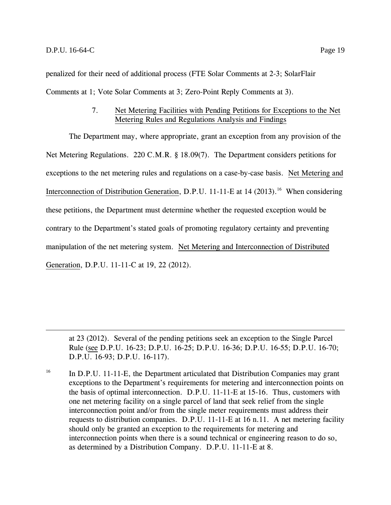penalized for their need of additional process (FTE Solar Comments at 2-3; SolarFlair Comments at 1; Vote Solar Comments at 3; Zero-Point Reply Comments at 3).

## 7. Net Metering Facilities with Pending Petitions for Exceptions to the Net Metering Rules and Regulations Analysis and Findings

<span id="page-21-0"></span>The Department may, where appropriate, grant an exception from any provision of the Net Metering Regulations. 220 C.M.R. § 18.09(7). The Department considers petitions for exceptions to the net metering rules and regulations on a case-by-case basis. Net Metering and Interconnection of Distribution Generation, D.P.U. 11-11-E at 14 (2013).<sup>16</sup> When considering these petitions, the Department must determine whether the requested exception would be contrary to the Department's stated goals of promoting regulatory certainty and preventing manipulation of the net metering system. Net Metering and Interconnection of Distributed Generation, D.P.U. 11-11-C at 19, 22 (2012).

at 23 (2012). Several of the pending petitions seek an exception to the Single Parcel Rule (see D.P.U. 16-23; D.P.U. 16-25; D.P.U. 16-36; D.P.U. 16-55; D.P.U. 16-70; D.P.U. 16-93; D.P.U. 16-117).

 $16$  In D.P.U. 11-11-E, the Department articulated that Distribution Companies may grant exceptions to the Department's requirements for metering and interconnection points on the basis of optimal interconnection. D.P.U. 11-11-E at 15-16. Thus, customers with one net metering facility on a single parcel of land that seek relief from the single interconnection point and/or from the single meter requirements must address their requests to distribution companies. D.P.U. 11-11-E at 16 n.11. A net metering facility should only be granted an exception to the requirements for metering and interconnection points when there is a sound technical or engineering reason to do so, as determined by a Distribution Company. D.P.U. 11-11-E at 8.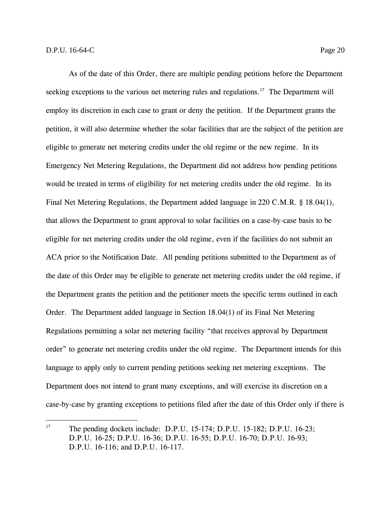As of the date of this Order, there are multiple pending petitions before the Department seeking exceptions to the various net metering rules and regulations.<sup>17</sup> The Department will employ its discretion in each case to grant or deny the petition. If the Department grants the petition, it will also determine whether the solar facilities that are the subject of the petition are eligible to generate net metering credits under the old regime or the new regime. In its Emergency Net Metering Regulations, the Department did not address how pending petitions would be treated in terms of eligibility for net metering credits under the old regime. In its Final Net Metering Regulations, the Department added language in 220 C.M.R. § 18.04(1), that allows the Department to grant approval to solar facilities on a case-by-case basis to be eligible for net metering credits under the old regime, even if the facilities do not submit an ACA prior to the Notification Date. All pending petitions submitted to the Department as of the date of this Order may be eligible to generate net metering credits under the old regime, if the Department grants the petition and the petitioner meets the specific terms outlined in each Order. The Department added language in Section 18.04(1) of its Final Net Metering Regulations permitting a solar net metering facility "that receives approval by Department order" to generate net metering credits under the old regime. The Department intends for this language to apply only to current pending petitions seeking net metering exceptions. The Department does not intend to grant many exceptions, and will exercise its discretion on a case-by-case by granting exceptions to petitions filed after the date of this Order only if there is

<sup>&</sup>lt;sup>17</sup> The pending dockets include: D.P.U. 15-174; D.P.U. 15-182; D.P.U. 16-23; D.P.U. 16-25; D.P.U. 16-36; D.P.U. 16-55; D.P.U. 16-70; D.P.U. 16-93; D.P.U. 16-116; and D.P.U. 16-117.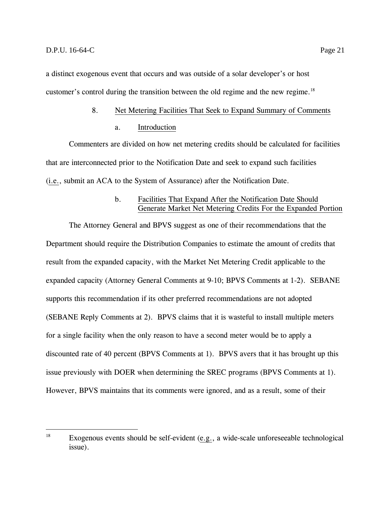<span id="page-23-0"></span>a distinct exogenous event that occurs and was outside of a solar developer's or host customer's control during the transition between the old regime and the new regime.<sup>18</sup>

#### 8. Net Metering Facilities That Seek to Expand Summary of Comments

#### a. Introduction

Commenters are divided on how net metering credits should be calculated for facilities that are interconnected prior to the Notification Date and seek to expand such facilities (i.e., submit an ACA to the System of Assurance) after the Notification Date.

#### b. Facilities That Expand After the Notification Date Should Generate Market Net Metering Credits For the Expanded Portion

The Attorney General and BPVS suggest as one of their recommendations that the Department should require the Distribution Companies to estimate the amount of credits that result from the expanded capacity, with the Market Net Metering Credit applicable to the expanded capacity (Attorney General Comments at 9-10; BPVS Comments at 1-2). SEBANE supports this recommendation if its other preferred recommendations are not adopted (SEBANE Reply Comments at 2). BPVS claims that it is wasteful to install multiple meters for a single facility when the only reason to have a second meter would be to apply a discounted rate of 40 percent (BPVS Comments at 1). BPVS avers that it has brought up this issue previously with DOER when determining the SREC programs (BPVS Comments at 1). However, BPVS maintains that its comments were ignored, and as a result, some of their

<sup>18</sup> Exogenous events should be self-evident (e.g., a wide-scale unforeseeable technological issue).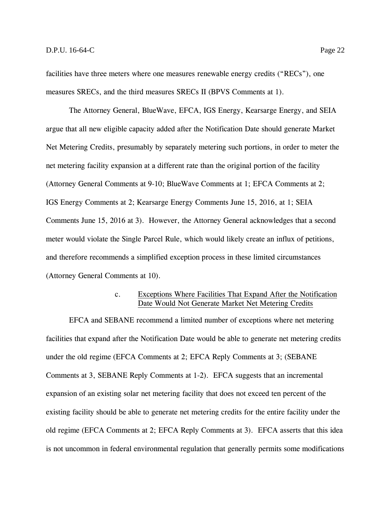facilities have three meters where one measures renewable energy credits ("RECs"), one measures SRECs, and the third measures SRECs II (BPVS Comments at 1).

The Attorney General, BlueWave, EFCA, IGS Energy, Kearsarge Energy, and SEIA argue that all new eligible capacity added after the Notification Date should generate Market Net Metering Credits, presumably by separately metering such portions, in order to meter the net metering facility expansion at a different rate than the original portion of the facility (Attorney General Comments at 9-10; BlueWave Comments at 1; EFCA Comments at 2; IGS Energy Comments at 2; Kearsarge Energy Comments June 15, 2016, at 1; SEIA Comments June 15, 2016 at 3). However, the Attorney General acknowledges that a second meter would violate the Single Parcel Rule, which would likely create an influx of petitions, and therefore recommends a simplified exception process in these limited circumstances (Attorney General Comments at 10).

## c. Exceptions Where Facilities That Expand After the Notification Date Would Not Generate Market Net Metering Credits

EFCA and SEBANE recommend a limited number of exceptions where net metering facilities that expand after the Notification Date would be able to generate net metering credits under the old regime (EFCA Comments at 2; EFCA Reply Comments at 3; (SEBANE Comments at 3, SEBANE Reply Comments at 1-2). EFCA suggests that an incremental expansion of an existing solar net metering facility that does not exceed ten percent of the existing facility should be able to generate net metering credits for the entire facility under the old regime (EFCA Comments at 2; EFCA Reply Comments at 3). EFCA asserts that this idea is not uncommon in federal environmental regulation that generally permits some modifications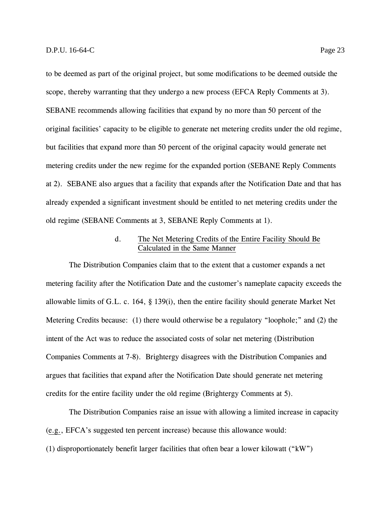to be deemed as part of the original project, but some modifications to be deemed outside the scope, thereby warranting that they undergo a new process (EFCA Reply Comments at 3). SEBANE recommends allowing facilities that expand by no more than 50 percent of the original facilities' capacity to be eligible to generate net metering credits under the old regime, but facilities that expand more than 50 percent of the original capacity would generate net metering credits under the new regime for the expanded portion (SEBANE Reply Comments at 2). SEBANE also argues that a facility that expands after the Notification Date and that has already expended a significant investment should be entitled to net metering credits under the old regime (SEBANE Comments at 3, SEBANE Reply Comments at 1).

## d. The Net Metering Credits of the Entire Facility Should Be Calculated in the Same Manner

The Distribution Companies claim that to the extent that a customer expands a net metering facility after the Notification Date and the customer's nameplate capacity exceeds the allowable limits of G.L. c. 164, § 139(i), then the entire facility should generate Market Net Metering Credits because: (1) there would otherwise be a regulatory "loophole;" and (2) the intent of the Act was to reduce the associated costs of solar net metering (Distribution Companies Comments at 7-8). Brightergy disagrees with the Distribution Companies and argues that facilities that expand after the Notification Date should generate net metering credits for the entire facility under the old regime (Brightergy Comments at 5).

The Distribution Companies raise an issue with allowing a limited increase in capacity (e.g., EFCA's suggested ten percent increase) because this allowance would: (1) disproportionately benefit larger facilities that often bear a lower kilowatt ("kW")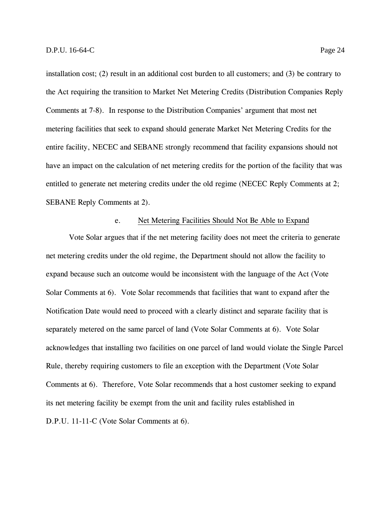installation cost; (2) result in an additional cost burden to all customers; and (3) be contrary to the Act requiring the transition to Market Net Metering Credits (Distribution Companies Reply Comments at 7-8). In response to the Distribution Companies' argument that most net metering facilities that seek to expand should generate Market Net Metering Credits for the entire facility, NECEC and SEBANE strongly recommend that facility expansions should not have an impact on the calculation of net metering credits for the portion of the facility that was entitled to generate net metering credits under the old regime (NECEC Reply Comments at 2; SEBANE Reply Comments at 2).

#### e. Net Metering Facilities Should Not Be Able to Expand

Vote Solar argues that if the net metering facility does not meet the criteria to generate net metering credits under the old regime, the Department should not allow the facility to expand because such an outcome would be inconsistent with the language of the Act (Vote Solar Comments at 6). Vote Solar recommends that facilities that want to expand after the Notification Date would need to proceed with a clearly distinct and separate facility that is separately metered on the same parcel of land (Vote Solar Comments at 6). Vote Solar acknowledges that installing two facilities on one parcel of land would violate the Single Parcel Rule, thereby requiring customers to file an exception with the Department (Vote Solar Comments at 6). Therefore, Vote Solar recommends that a host customer seeking to expand its net metering facility be exempt from the unit and facility rules established in D.P.U. 11-11-C (Vote Solar Comments at 6).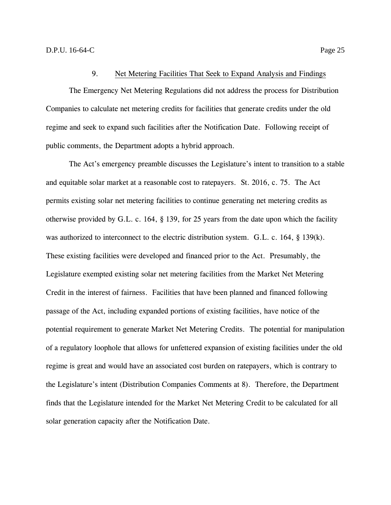#### 9. Net Metering Facilities That Seek to Expand Analysis and Findings

<span id="page-27-0"></span>The Emergency Net Metering Regulations did not address the process for Distribution Companies to calculate net metering credits for facilities that generate credits under the old regime and seek to expand such facilities after the Notification Date. Following receipt of public comments, the Department adopts a hybrid approach.

The Act's emergency preamble discusses the Legislature's intent to transition to a stable and equitable solar market at a reasonable cost to ratepayers. St. 2016, c. 75. The Act permits existing solar net metering facilities to continue generating net metering credits as otherwise provided by G.L. c. 164, § 139, for 25 years from the date upon which the facility was authorized to interconnect to the electric distribution system. G.L. c. 164, § 139(k). These existing facilities were developed and financed prior to the Act. Presumably, the Legislature exempted existing solar net metering facilities from the Market Net Metering Credit in the interest of fairness. Facilities that have been planned and financed following passage of the Act, including expanded portions of existing facilities, have notice of the potential requirement to generate Market Net Metering Credits. The potential for manipulation of a regulatory loophole that allows for unfettered expansion of existing facilities under the old regime is great and would have an associated cost burden on ratepayers, which is contrary to the Legislature's intent (Distribution Companies Comments at 8). Therefore, the Department finds that the Legislature intended for the Market Net Metering Credit to be calculated for all solar generation capacity after the Notification Date.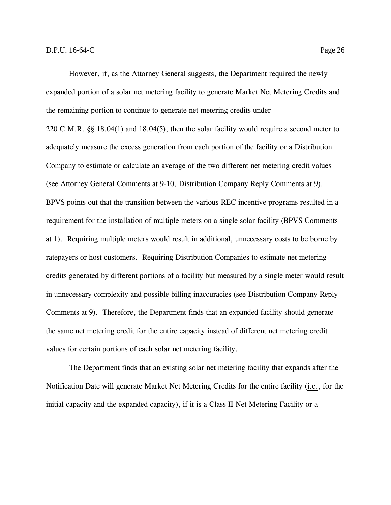However, if, as the Attorney General suggests, the Department required the newly expanded portion of a solar net metering facility to generate Market Net Metering Credits and the remaining portion to continue to generate net metering credits under 220 C.M.R. §§ 18.04(1) and 18.04(5), then the solar facility would require a second meter to adequately measure the excess generation from each portion of the facility or a Distribution Company to estimate or calculate an average of the two different net metering credit values (see Attorney General Comments at 9-10, Distribution Company Reply Comments at 9). BPVS points out that the transition between the various REC incentive programs resulted in a requirement for the installation of multiple meters on a single solar facility (BPVS Comments at 1). Requiring multiple meters would result in additional, unnecessary costs to be borne by ratepayers or host customers. Requiring Distribution Companies to estimate net metering credits generated by different portions of a facility but measured by a single meter would result in unnecessary complexity and possible billing inaccuracies (see Distribution Company Reply Comments at 9). Therefore, the Department finds that an expanded facility should generate the same net metering credit for the entire capacity instead of different net metering credit values for certain portions of each solar net metering facility.

The Department finds that an existing solar net metering facility that expands after the Notification Date will generate Market Net Metering Credits for the entire facility (i.e., for the initial capacity and the expanded capacity), if it is a Class II Net Metering Facility or a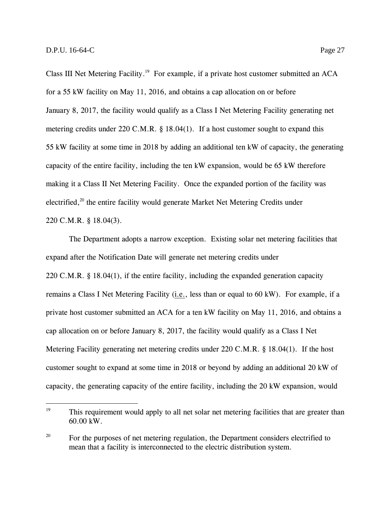Class III Net Metering Facility.<sup>19</sup> For example, if a private host customer submitted an ACA for a 55 kW facility on May 11, 2016, and obtains a cap allocation on or before January 8, 2017, the facility would qualify as a Class I Net Metering Facility generating net metering credits under 220 C.M.R. § 18.04(1). If a host customer sought to expand this 55 kW facility at some time in 2018 by adding an additional ten kW of capacity, the generating capacity of the entire facility, including the ten kW expansion, would be 65 kW therefore making it a Class II Net Metering Facility. Once the expanded portion of the facility was electrified,<sup>20</sup> the entire facility would generate Market Net Metering Credits under 220 C.M.R. § 18.04(3).

The Department adopts a narrow exception. Existing solar net metering facilities that expand after the Notification Date will generate net metering credits under 220 C.M.R. § 18.04(1), if the entire facility, including the expanded generation capacity remains a Class I Net Metering Facility (i.e., less than or equal to 60 kW). For example, if a private host customer submitted an ACA for a ten kW facility on May 11, 2016, and obtains a cap allocation on or before January 8, 2017, the facility would qualify as a Class I Net Metering Facility generating net metering credits under 220 C.M.R. § 18.04(1). If the host customer sought to expand at some time in 2018 or beyond by adding an additional 20 kW of capacity, the generating capacity of the entire facility, including the 20 kW expansion, would

<sup>&</sup>lt;sup>19</sup> This requirement would apply to all net solar net metering facilities that are greater than 60.00 kW.

<sup>&</sup>lt;sup>20</sup> For the purposes of net metering regulation, the Department considers electrified to mean that a facility is interconnected to the electric distribution system.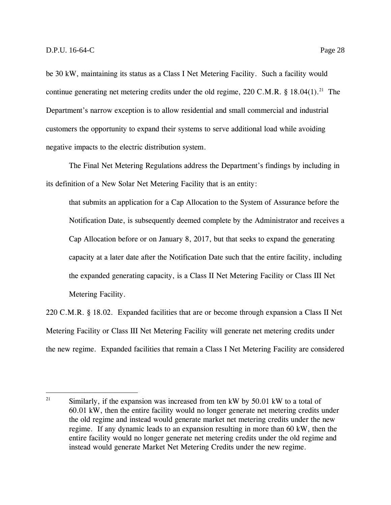be 30 kW, maintaining its status as a Class I Net Metering Facility. Such a facility would continue generating net metering credits under the old regime, 220 C.M.R. § 18.04(1).<sup>21</sup> The Department's narrow exception is to allow residential and small commercial and industrial customers the opportunity to expand their systems to serve additional load while avoiding negative impacts to the electric distribution system.

The Final Net Metering Regulations address the Department's findings by including in its definition of a New Solar Net Metering Facility that is an entity:

that submits an application for a Cap Allocation to the System of Assurance before the Notification Date, is subsequently deemed complete by the Administrator and receives a Cap Allocation before or on January 8, 2017, but that seeks to expand the generating capacity at a later date after the Notification Date such that the entire facility, including the expanded generating capacity, is a Class II Net Metering Facility or Class III Net Metering Facility.

220 C.M.R. § 18.02. Expanded facilities that are or become through expansion a Class II Net Metering Facility or Class III Net Metering Facility will generate net metering credits under the new regime. Expanded facilities that remain a Class I Net Metering Facility are considered

<sup>&</sup>lt;sup>21</sup> Similarly, if the expansion was increased from ten kW by 50.01 kW to a total of 60.01 kW, then the entire facility would no longer generate net metering credits under the old regime and instead would generate market net metering credits under the new regime. If any dynamic leads to an expansion resulting in more than 60 kW, then the entire facility would no longer generate net metering credits under the old regime and instead would generate Market Net Metering Credits under the new regime.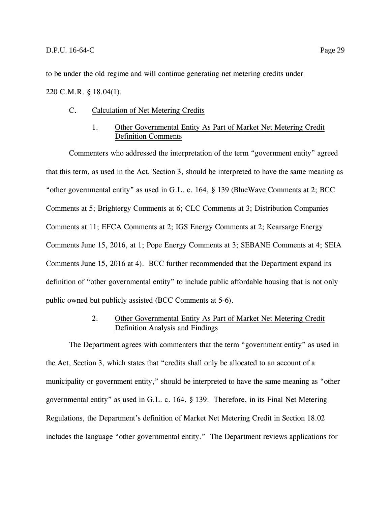to be under the old regime and will continue generating net metering credits under

## <span id="page-31-0"></span>220 C.M.R. § 18.04(1).

## C. Calculation of Net Metering Credits

## 1. Other Governmental Entity As Part of Market Net Metering Credit Definition Comments

<span id="page-31-1"></span>Commenters who addressed the interpretation of the term "government entity" agreed that this term, as used in the Act, Section 3, should be interpreted to have the same meaning as "other governmental entity" as used in G.L. c. 164, § 139 (BlueWave Comments at 2; BCC Comments at 5; Brightergy Comments at 6; CLC Comments at 3; Distribution Companies Comments at 11; EFCA Comments at 2; IGS Energy Comments at 2; Kearsarge Energy Comments June 15, 2016, at 1; Pope Energy Comments at 3; SEBANE Comments at 4; SEIA Comments June 15, 2016 at 4). BCC further recommended that the Department expand its definition of "other governmental entity" to include public affordable housing that is not only public owned but publicly assisted (BCC Comments at 5-6).

## 2. Other Governmental Entity As Part of Market Net Metering Credit Definition Analysis and Findings

<span id="page-31-2"></span>The Department agrees with commenters that the term "government entity" as used in the Act, Section 3, which states that "credits shall only be allocated to an account of a municipality or government entity," should be interpreted to have the same meaning as "other governmental entity" as used in G.L. c. 164, § 139. Therefore, in its Final Net Metering Regulations, the Department's definition of Market Net Metering Credit in Section 18.02 includes the language "other governmental entity." The Department reviews applications for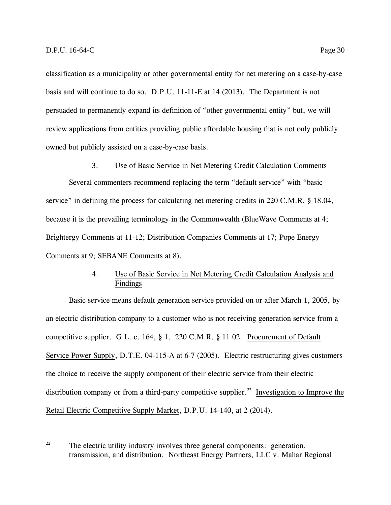classification as a municipality or other governmental entity for net metering on a case-by-case basis and will continue to do so. D.P.U. 11-11-E at 14 (2013). The Department is not persuaded to permanently expand its definition of "other governmental entity" but, we will review applications from entities providing public affordable housing that is not only publicly owned but publicly assisted on a case-by-case basis.

3. Use of Basic Service in Net Metering Credit Calculation Comments

<span id="page-32-0"></span>Several commenters recommend replacing the term "default service" with "basic service" in defining the process for calculating net metering credits in 220 C.M.R. § 18.04, because it is the prevailing terminology in the Commonwealth (BlueWave Comments at 4; Brightergy Comments at 11-12; Distribution Companies Comments at 17; Pope Energy Comments at 9; SEBANE Comments at 8).

## 4. Use of Basic Service in Net Metering Credit Calculation Analysis and Findings

<span id="page-32-1"></span>Basic service means default generation service provided on or after March 1, 2005, by an electric distribution company to a customer who is not receiving generation service from a competitive supplier. G.L. c. 164, § 1. 220 C.M.R. § 11.02. Procurement of Default Service Power Supply, D.T.E. 04-115-A at 6-7 (2005). Electric restructuring gives customers the choice to receive the supply component of their electric service from their electric distribution company or from a third-party competitive supplier.<sup>22</sup> Investigation to Improve the Retail Electric Competitive Supply Market, D.P.U. 14-140, at 2 (2014).

 $22$ The electric utility industry involves three general components: generation, transmission, and distribution. Northeast Energy Partners, LLC v. Mahar Regional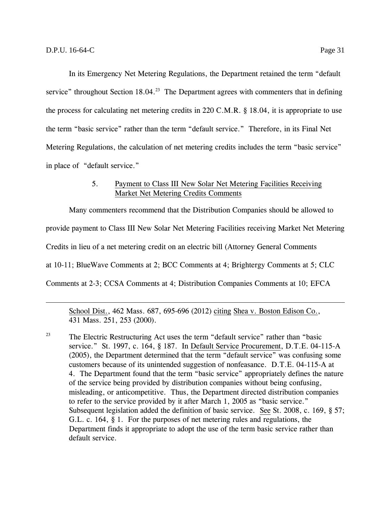In its Emergency Net Metering Regulations, the Department retained the term "default service" throughout Section 18.04.<sup>23</sup> The Department agrees with commenters that in defining the process for calculating net metering credits in 220 C.M.R. § 18.04, it is appropriate to use the term "basic service" rather than the term "default service." Therefore, in its Final Net Metering Regulations, the calculation of net metering credits includes the term "basic service" in place of "default service."

#### 5. Payment to Class III New Solar Net Metering Facilities Receiving Market Net Metering Credits Comments

<span id="page-33-0"></span>Many commenters recommend that the Distribution Companies should be allowed to provide payment to Class III New Solar Net Metering Facilities receiving Market Net Metering Credits in lieu of a net metering credit on an electric bill (Attorney General Comments at 10-11; BlueWave Comments at 2; BCC Comments at 4; Brightergy Comments at 5; CLC Comments at 2-3; CCSA Comments at 4; Distribution Companies Comments at 10; EFCA

School Dist., 462 Mass. 687, 695-696 (2012) citing Shea v. Boston Edison Co., 431 Mass. 251, 253 (2000).

<sup>23</sup> The Electric Restructuring Act uses the term "default service" rather than "basic service." St. 1997, c. 164, § 187. In Default Service Procurement, D.T.E. 04-115-A (2005), the Department determined that the term "default service" was confusing some customers because of its unintended suggestion of nonfeasance. D.T.E. 04-115-A at 4. The Department found that the term "basic service" appropriately defines the nature of the service being provided by distribution companies without being confusing, misleading, or anticompetitive. Thus, the Department directed distribution companies to refer to the service provided by it after March 1, 2005 as "basic service." Subsequent legislation added the definition of basic service. See St. 2008, c. 169, § 57; G.L. c. 164, § 1. For the purposes of net metering rules and regulations, the Department finds it appropriate to adopt the use of the term basic service rather than default service.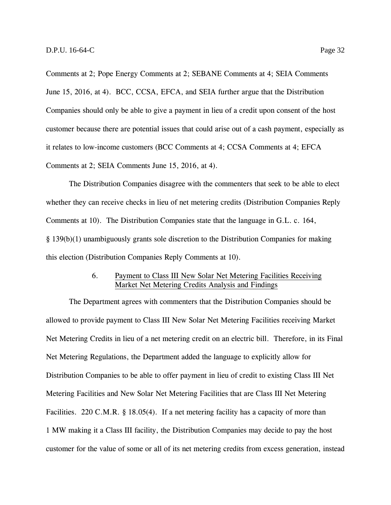Comments at 2; Pope Energy Comments at 2; SEBANE Comments at 4; SEIA Comments June 15, 2016, at 4). BCC, CCSA, EFCA, and SEIA further argue that the Distribution Companies should only be able to give a payment in lieu of a credit upon consent of the host customer because there are potential issues that could arise out of a cash payment, especially as it relates to low-income customers (BCC Comments at 4; CCSA Comments at 4; EFCA Comments at 2; SEIA Comments June 15, 2016, at 4).

The Distribution Companies disagree with the commenters that seek to be able to elect whether they can receive checks in lieu of net metering credits (Distribution Companies Reply Comments at 10). The Distribution Companies state that the language in G.L. c. 164, § 139(b)(1) unambiguously grants sole discretion to the Distribution Companies for making this election (Distribution Companies Reply Comments at 10).

#### 6. Payment to Class III New Solar Net Metering Facilities Receiving Market Net Metering Credits Analysis and Findings

<span id="page-34-0"></span>The Department agrees with commenters that the Distribution Companies should be allowed to provide payment to Class III New Solar Net Metering Facilities receiving Market Net Metering Credits in lieu of a net metering credit on an electric bill. Therefore, in its Final Net Metering Regulations, the Department added the language to explicitly allow for Distribution Companies to be able to offer payment in lieu of credit to existing Class III Net Metering Facilities and New Solar Net Metering Facilities that are Class III Net Metering Facilities. 220 C.M.R. § 18.05(4). If a net metering facility has a capacity of more than 1 MW making it a Class III facility, the Distribution Companies may decide to pay the host customer for the value of some or all of its net metering credits from excess generation, instead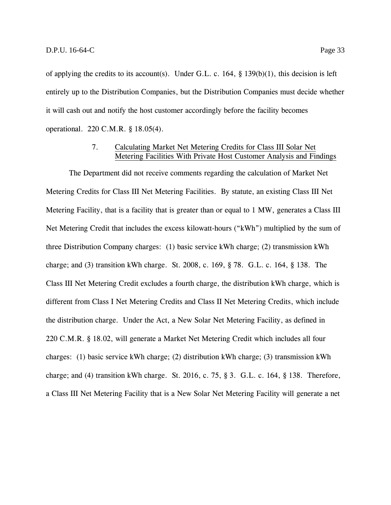of applying the credits to its account(s). Under G.L. c. 164, § 139(b)(1), this decision is left entirely up to the Distribution Companies, but the Distribution Companies must decide whether it will cash out and notify the host customer accordingly before the facility becomes operational. 220 C.M.R. § 18.05(4).

## 7. Calculating Market Net Metering Credits for Class III Solar Net Metering Facilities With Private Host Customer Analysis and Findings

<span id="page-35-0"></span>The Department did not receive comments regarding the calculation of Market Net Metering Credits for Class III Net Metering Facilities. By statute, an existing Class III Net Metering Facility, that is a facility that is greater than or equal to 1 MW, generates a Class III Net Metering Credit that includes the excess kilowatt-hours ("kWh") multiplied by the sum of three Distribution Company charges: (1) basic service kWh charge; (2) transmission kWh charge; and (3) transition kWh charge. St. 2008, c. 169, § 78. G.L. c. 164, § 138. The Class III Net Metering Credit excludes a fourth charge, the distribution kWh charge, which is different from Class I Net Metering Credits and Class II Net Metering Credits, which include the distribution charge. Under the Act, a New Solar Net Metering Facility, as defined in 220 C.M.R. § 18.02, will generate a Market Net Metering Credit which includes all four charges: (1) basic service kWh charge; (2) distribution kWh charge; (3) transmission kWh charge; and (4) transition kWh charge. St. 2016, c. 75, § 3. G.L. c. 164, § 138. Therefore, a Class III Net Metering Facility that is a New Solar Net Metering Facility will generate a net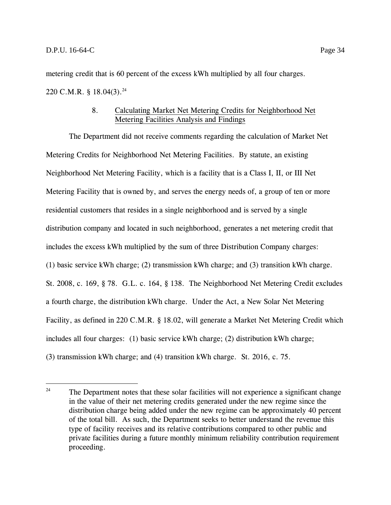metering credit that is 60 percent of the excess kWh multiplied by all four charges. 220 C.M.R. § 18.04(3).<sup>24</sup>

### 8. Calculating Market Net Metering Credits for Neighborhood Net Metering Facilities Analysis and Findings

The Department did not receive comments regarding the calculation of Market Net Metering Credits for Neighborhood Net Metering Facilities. By statute, an existing Neighborhood Net Metering Facility, which is a facility that is a Class I, II, or III Net Metering Facility that is owned by, and serves the energy needs of, a group of ten or more residential customers that resides in a single neighborhood and is served by a single distribution company and located in such neighborhood, generates a net metering credit that includes the excess kWh multiplied by the sum of three Distribution Company charges: (1) basic service kWh charge; (2) transmission kWh charge; and (3) transition kWh charge. St. 2008, c. 169, § 78. G.L. c. 164, § 138. The Neighborhood Net Metering Credit excludes a fourth charge, the distribution kWh charge. Under the Act, a New Solar Net Metering Facility, as defined in 220 C.M.R. § 18.02, will generate a Market Net Metering Credit which includes all four charges: (1) basic service kWh charge; (2) distribution kWh charge; (3) transmission kWh charge; and (4) transition kWh charge. St. 2016, c. 75.

 $24$ The Department notes that these solar facilities will not experience a significant change in the value of their net metering credits generated under the new regime since the distribution charge being added under the new regime can be approximately 40 percent of the total bill. As such, the Department seeks to better understand the revenue this type of facility receives and its relative contributions compared to other public and private facilities during a future monthly minimum reliability contribution requirement proceeding.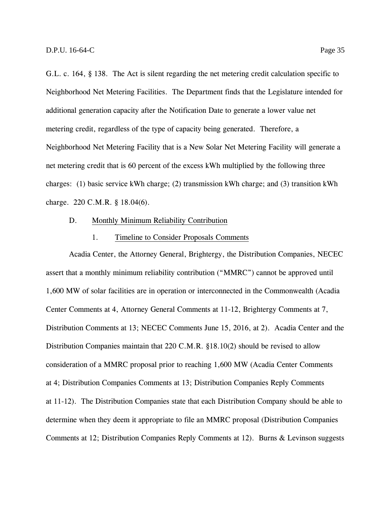G.L. c. 164, § 138. The Act is silent regarding the net metering credit calculation specific to Neighborhood Net Metering Facilities. The Department finds that the Legislature intended for additional generation capacity after the Notification Date to generate a lower value net metering credit, regardless of the type of capacity being generated. Therefore, a Neighborhood Net Metering Facility that is a New Solar Net Metering Facility will generate a net metering credit that is 60 percent of the excess kWh multiplied by the following three charges: (1) basic service kWh charge; (2) transmission kWh charge; and (3) transition kWh charge. 220 C.M.R. § 18.04(6).

#### D. Monthly Minimum Reliability Contribution

#### 1. Timeline to Consider Proposals Comments

Acadia Center, the Attorney General, Brightergy, the Distribution Companies, NECEC assert that a monthly minimum reliability contribution ("MMRC") cannot be approved until 1,600 MW of solar facilities are in operation or interconnected in the Commonwealth (Acadia Center Comments at 4, Attorney General Comments at 11-12, Brightergy Comments at 7, Distribution Comments at 13; NECEC Comments June 15, 2016, at 2). Acadia Center and the Distribution Companies maintain that 220 C.M.R. §18.10(2) should be revised to allow consideration of a MMRC proposal prior to reaching 1,600 MW (Acadia Center Comments at 4; Distribution Companies Comments at 13; Distribution Companies Reply Comments at 11-12). The Distribution Companies state that each Distribution Company should be able to determine when they deem it appropriate to file an MMRC proposal (Distribution Companies Comments at 12; Distribution Companies Reply Comments at 12). Burns & Levinson suggests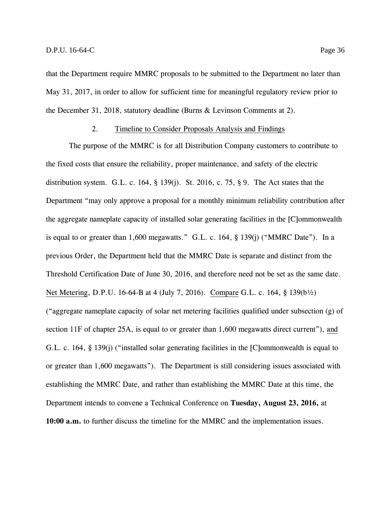the December 31, 2018, statutory deadline (Burns & Levinson Comments at 2).

#### 2. Timeline to Consider Proposals Analysis and Findings

May 31, 2017, in order to allow for sufficient time for meaningful regulatory review prior to

The purpose of the MMRC is for all Distribution Company customers to contribute to the fixed costs that ensure the reliability, proper maintenance, and safety of the electric distribution system. G.L. c. 164,  $\S$  139(j). St. 2016, c. 75,  $\S$  9. The Act states that the Department "may only approve a proposal for a monthly minimum reliability contribution after the aggregate nameplate capacity of installed solar generating facilities in the [C]ommonwealth is equal to or greater than 1,600 megawatts." G.L. c. 164, § 139(j) ("MMRC Date"). In a previous Order, the Department held that the MMRC Date is separate and distinct from the Threshold Certification Date of June 30, 2016, and therefore need not be set as the same date. Net Metering, D.P.U. 16-64-B at 4 (July 7, 2016). Compare G.L. c. 164, § 139(b½) ("aggregate nameplate capacity of solar net metering facilities qualified under subsection (g) of section 11F of chapter 25A, is equal to or greater than 1,600 megawatts direct current"), and G.L. c. 164, § 139(j) ("installed solar generating facilities in the [C]ommonwealth is equal to or greater than 1,600 megawatts"). The Department is still considering issues associated with establishing the MMRC Date, and rather than establishing the MMRC Date at this time, the Department intends to convene a Technical Conference on **Tuesday, August 23, 2016,** at **10:00 a.m.** to further discuss the timeline for the MMRC and the implementation issues.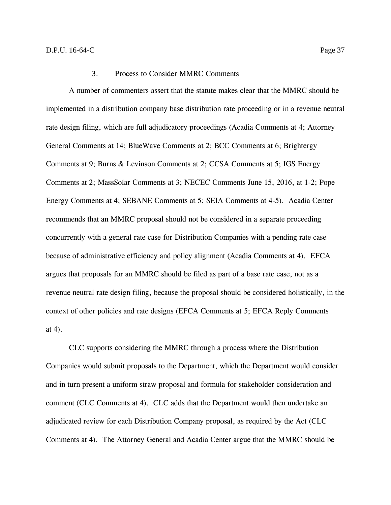#### 3. Process to Consider MMRC Comments

A number of commenters assert that the statute makes clear that the MMRC should be implemented in a distribution company base distribution rate proceeding or in a revenue neutral rate design filing, which are full adjudicatory proceedings (Acadia Comments at 4; Attorney General Comments at 14; BlueWave Comments at 2; BCC Comments at 6; Brightergy Comments at 9; Burns & Levinson Comments at 2; CCSA Comments at 5; IGS Energy Comments at 2; MassSolar Comments at 3; NECEC Comments June 15, 2016, at 1-2; Pope Energy Comments at 4; SEBANE Comments at 5; SEIA Comments at 4-5). Acadia Center recommends that an MMRC proposal should not be considered in a separate proceeding concurrently with a general rate case for Distribution Companies with a pending rate case because of administrative efficiency and policy alignment (Acadia Comments at 4). EFCA argues that proposals for an MMRC should be filed as part of a base rate case, not as a revenue neutral rate design filing, because the proposal should be considered holistically, in the context of other policies and rate designs (EFCA Comments at 5; EFCA Reply Comments at 4).

CLC supports considering the MMRC through a process where the Distribution Companies would submit proposals to the Department, which the Department would consider and in turn present a uniform straw proposal and formula for stakeholder consideration and comment (CLC Comments at 4). CLC adds that the Department would then undertake an adjudicated review for each Distribution Company proposal, as required by the Act (CLC Comments at 4). The Attorney General and Acadia Center argue that the MMRC should be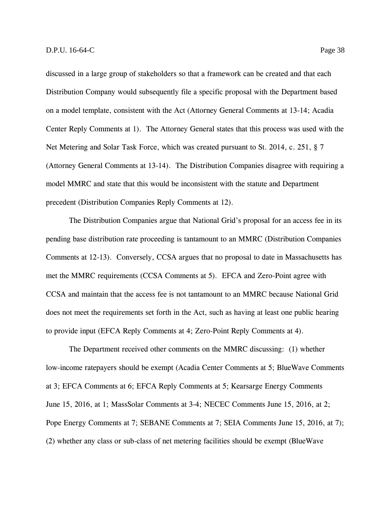discussed in a large group of stakeholders so that a framework can be created and that each Distribution Company would subsequently file a specific proposal with the Department based on a model template, consistent with the Act (Attorney General Comments at 13-14; Acadia Center Reply Comments at 1). The Attorney General states that this process was used with the Net Metering and Solar Task Force, which was created pursuant to St. 2014, c. 251, § 7 (Attorney General Comments at 13-14). The Distribution Companies disagree with requiring a model MMRC and state that this would be inconsistent with the statute and Department precedent (Distribution Companies Reply Comments at 12).

The Distribution Companies argue that National Grid's proposal for an access fee in its pending base distribution rate proceeding is tantamount to an MMRC (Distribution Companies Comments at 12-13). Conversely, CCSA argues that no proposal to date in Massachusetts has met the MMRC requirements (CCSA Comments at 5). EFCA and Zero-Point agree with CCSA and maintain that the access fee is not tantamount to an MMRC because National Grid does not meet the requirements set forth in the Act, such as having at least one public hearing to provide input (EFCA Reply Comments at 4; Zero-Point Reply Comments at 4).

The Department received other comments on the MMRC discussing: (1) whether low-income ratepayers should be exempt (Acadia Center Comments at 5; BlueWave Comments at 3; EFCA Comments at 6; EFCA Reply Comments at 5; Kearsarge Energy Comments June 15, 2016, at 1; MassSolar Comments at 3-4; NECEC Comments June 15, 2016, at 2; Pope Energy Comments at 7; SEBANE Comments at 7; SEIA Comments June 15, 2016, at 7); (2) whether any class or sub-class of net metering facilities should be exempt (BlueWave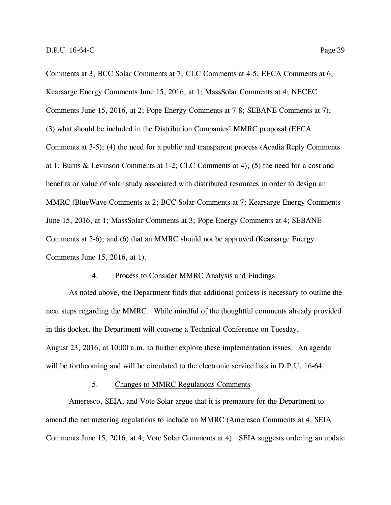Comments at 3; BCC Solar Comments at 7; CLC Comments at 4-5; EFCA Comments at 6; Kearsarge Energy Comments June 15, 2016, at 1; MassSolar Comments at 4; NECEC Comments June 15, 2016, at 2; Pope Energy Comments at 7-8; SEBANE Comments at 7); (3) what should be included in the Distribution Companies' MMRC proposal (EFCA Comments at 3-5); (4) the need for a public and transparent process (Acadia Reply Comments at 1; Burns & Levinson Comments at 1-2; CLC Comments at 4); (5) the need for a cost and benefits or value of solar study associated with distributed resources in order to design an MMRC (BlueWave Comments at 2; BCC Solar Comments at 7; Kearsarge Energy Comments June 15, 2016, at 1; MassSolar Comments at 3; Pope Energy Comments at 4; SEBANE Comments at 5-6); and (6) that an MMRC should not be approved (Kearsarge Energy Comments June 15, 2016, at 1).

#### 4. Process to Consider MMRC Analysis and Findings

As noted above, the Department finds that additional process is necessary to outline the next steps regarding the MMRC. While mindful of the thoughtful comments already provided in this docket, the Department will convene a Technical Conference on Tuesday, August 23, 2016, at 10:00 a.m. to further explore these implementation issues. An agenda will be forthcoming and will be circulated to the electronic service lists in D.P.U. 16-64.

#### 5. Changes to MMRC Regulations Comments

Ameresco, SEIA, and Vote Solar argue that it is premature for the Department to amend the net metering regulations to include an MMRC (Ameresco Comments at 4; SEIA Comments June 15, 2016, at 4; Vote Solar Comments at 4). SEIA suggests ordering an update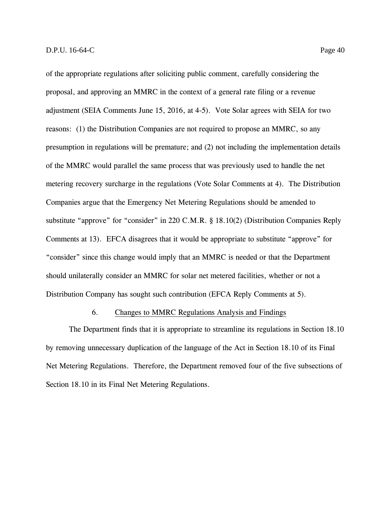of the appropriate regulations after soliciting public comment, carefully considering the proposal, and approving an MMRC in the context of a general rate filing or a revenue adjustment (SEIA Comments June 15, 2016, at 4-5). Vote Solar agrees with SEIA for two reasons: (1) the Distribution Companies are not required to propose an MMRC, so any presumption in regulations will be premature; and (2) not including the implementation details of the MMRC would parallel the same process that was previously used to handle the net metering recovery surcharge in the regulations (Vote Solar Comments at 4). The Distribution Companies argue that the Emergency Net Metering Regulations should be amended to substitute "approve" for "consider" in 220 C.M.R. § 18.10(2) (Distribution Companies Reply Comments at 13). EFCA disagrees that it would be appropriate to substitute "approve" for "consider" since this change would imply that an MMRC is needed or that the Department should unilaterally consider an MMRC for solar net metered facilities, whether or not a Distribution Company has sought such contribution (EFCA Reply Comments at 5).

#### 6. Changes to MMRC Regulations Analysis and Findings

The Department finds that it is appropriate to streamline its regulations in Section 18.10 by removing unnecessary duplication of the language of the Act in Section 18.10 of its Final Net Metering Regulations. Therefore, the Department removed four of the five subsections of Section 18.10 in its Final Net Metering Regulations.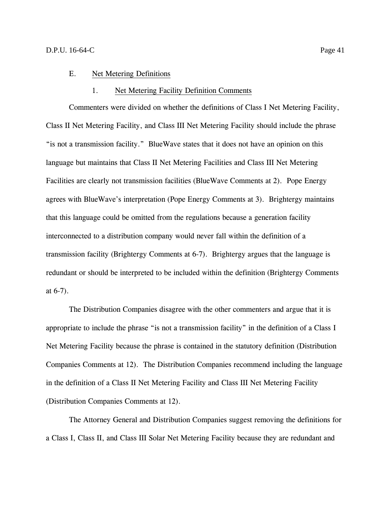#### E. Net Metering Definitions

#### 1. Net Metering Facility Definition Comments

Commenters were divided on whether the definitions of Class I Net Metering Facility, Class II Net Metering Facility, and Class III Net Metering Facility should include the phrase "is not a transmission facility." BlueWave states that it does not have an opinion on this language but maintains that Class II Net Metering Facilities and Class III Net Metering Facilities are clearly not transmission facilities (BlueWave Comments at 2). Pope Energy agrees with BlueWave's interpretation (Pope Energy Comments at 3). Brightergy maintains that this language could be omitted from the regulations because a generation facility interconnected to a distribution company would never fall within the definition of a transmission facility (Brightergy Comments at 6-7). Brightergy argues that the language is redundant or should be interpreted to be included within the definition (Brightergy Comments at 6-7).

The Distribution Companies disagree with the other commenters and argue that it is appropriate to include the phrase "is not a transmission facility" in the definition of a Class I Net Metering Facility because the phrase is contained in the statutory definition (Distribution Companies Comments at 12). The Distribution Companies recommend including the language in the definition of a Class II Net Metering Facility and Class III Net Metering Facility (Distribution Companies Comments at 12).

The Attorney General and Distribution Companies suggest removing the definitions for a Class I, Class II, and Class III Solar Net Metering Facility because they are redundant and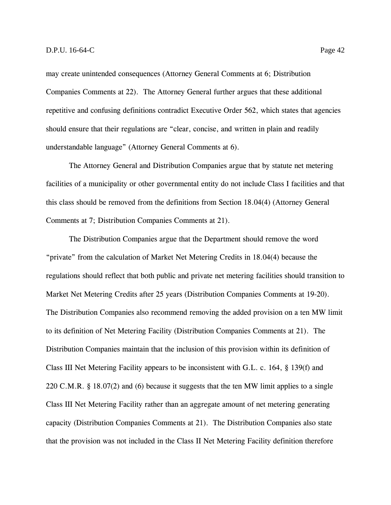may create unintended consequences (Attorney General Comments at 6; Distribution Companies Comments at 22). The Attorney General further argues that these additional repetitive and confusing definitions contradict Executive Order 562, which states that agencies should ensure that their regulations are "clear, concise, and written in plain and readily understandable language" (Attorney General Comments at 6).

The Attorney General and Distribution Companies argue that by statute net metering facilities of a municipality or other governmental entity do not include Class I facilities and that this class should be removed from the definitions from Section 18.04(4) (Attorney General Comments at 7; Distribution Companies Comments at 21).

The Distribution Companies argue that the Department should remove the word "private" from the calculation of Market Net Metering Credits in 18.04(4) because the regulations should reflect that both public and private net metering facilities should transition to Market Net Metering Credits after 25 years (Distribution Companies Comments at 19-20). The Distribution Companies also recommend removing the added provision on a ten MW limit to its definition of Net Metering Facility (Distribution Companies Comments at 21). The Distribution Companies maintain that the inclusion of this provision within its definition of Class III Net Metering Facility appears to be inconsistent with G.L. c. 164, § 139(f) and 220 C.M.R. § 18.07(2) and (6) because it suggests that the ten MW limit applies to a single Class III Net Metering Facility rather than an aggregate amount of net metering generating capacity (Distribution Companies Comments at 21). The Distribution Companies also state that the provision was not included in the Class II Net Metering Facility definition therefore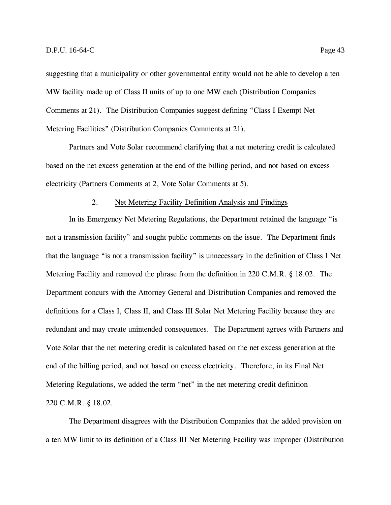suggesting that a municipality or other governmental entity would not be able to develop a ten MW facility made up of Class II units of up to one MW each (Distribution Companies Comments at 21). The Distribution Companies suggest defining "Class I Exempt Net Metering Facilities" (Distribution Companies Comments at 21).

Partners and Vote Solar recommend clarifying that a net metering credit is calculated based on the net excess generation at the end of the billing period, and not based on excess electricity (Partners Comments at 2, Vote Solar Comments at 5).

#### 2. Net Metering Facility Definition Analysis and Findings

In its Emergency Net Metering Regulations, the Department retained the language "is not a transmission facility" and sought public comments on the issue. The Department finds that the language "is not a transmission facility" is unnecessary in the definition of Class I Net Metering Facility and removed the phrase from the definition in 220 C.M.R. § 18.02. The Department concurs with the Attorney General and Distribution Companies and removed the definitions for a Class I, Class II, and Class III Solar Net Metering Facility because they are redundant and may create unintended consequences. The Department agrees with Partners and Vote Solar that the net metering credit is calculated based on the net excess generation at the end of the billing period, and not based on excess electricity. Therefore, in its Final Net Metering Regulations, we added the term "net" in the net metering credit definition 220 C.M.R. § 18.02.

The Department disagrees with the Distribution Companies that the added provision on a ten MW limit to its definition of a Class III Net Metering Facility was improper (Distribution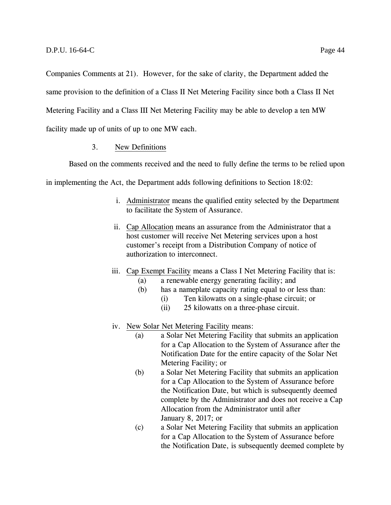Companies Comments at 21). However, for the sake of clarity, the Department added the

same provision to the definition of a Class II Net Metering Facility since both a Class II Net

Metering Facility and a Class III Net Metering Facility may be able to develop a ten MW

facility made up of units of up to one MW each.

### 3. New Definitions

Based on the comments received and the need to fully define the terms to be relied upon

in implementing the Act, the Department adds following definitions to Section 18:02:

- i. Administrator means the qualified entity selected by the Department to facilitate the System of Assurance.
- ii. Cap Allocation means an assurance from the Administrator that a host customer will receive Net Metering services upon a host customer's receipt from a Distribution Company of notice of authorization to interconnect.
- iii. Cap Exempt Facility means a Class I Net Metering Facility that is:
	- (a) a renewable energy generating facility; and
	- (b) has a nameplate capacity rating equal to or less than:
		- (i) Ten kilowatts on a single-phase circuit; or
		- (ii) 25 kilowatts on a three-phase circuit.
- iv. New Solar Net Metering Facility means:
	- (a) a Solar Net Metering Facility that submits an application for a Cap Allocation to the System of Assurance after the Notification Date for the entire capacity of the Solar Net Metering Facility; or
	- (b) a Solar Net Metering Facility that submits an application for a Cap Allocation to the System of Assurance before the Notification Date, but which is subsequently deemed complete by the Administrator and does not receive a Cap Allocation from the Administrator until after January 8, 2017; or
	- (c) a Solar Net Metering Facility that submits an application for a Cap Allocation to the System of Assurance before the Notification Date, is subsequently deemed complete by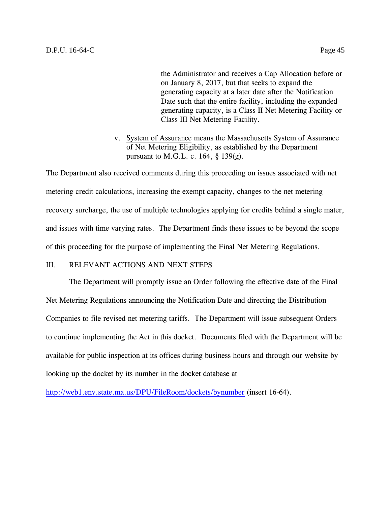the Administrator and receives a Cap Allocation before or on January 8, 2017, but that seeks to expand the generating capacity at a later date after the Notification Date such that the entire facility, including the expanded generating capacity, is a Class II Net Metering Facility or Class III Net Metering Facility.

v. System of Assurance means the Massachusetts System of Assurance of Net Metering Eligibility, as established by the Department pursuant to M.G.L. c.  $164$ , §  $139(g)$ .

The Department also received comments during this proceeding on issues associated with net metering credit calculations, increasing the exempt capacity, changes to the net metering recovery surcharge, the use of multiple technologies applying for credits behind a single mater, and issues with time varying rates. The Department finds these issues to be beyond the scope of this proceeding for the purpose of implementing the Final Net Metering Regulations.

## III. RELEVANT ACTIONS AND NEXT STEPS

The Department will promptly issue an Order following the effective date of the Final Net Metering Regulations announcing the Notification Date and directing the Distribution Companies to file revised net metering tariffs. The Department will issue subsequent Orders to continue implementing the Act in this docket. Documents filed with the Department will be available for public inspection at its offices during business hours and through our website by looking up the docket by its number in the docket database at

<http://web1.env.state.ma.us/DPU/FileRoom/dockets/bynumber> (insert 16-64).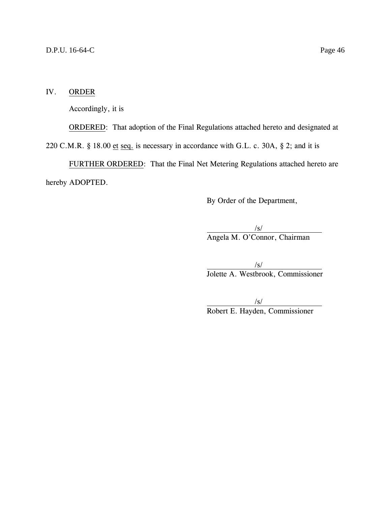## IV. ORDER

Accordingly, it is

ORDERED: That adoption of the Final Regulations attached hereto and designated at

220 C.M.R. § 18.00 et seq. is necessary in accordance with G.L. c. 30A, § 2; and it is

FURTHER ORDERED: That the Final Net Metering Regulations attached hereto are hereby ADOPTED.

By Order of the Department,

/s/ Angela M. O'Connor, Chairman

/s/ Jolette A. Westbrook, Commissioner

/s/ Robert E. Hayden, Commissioner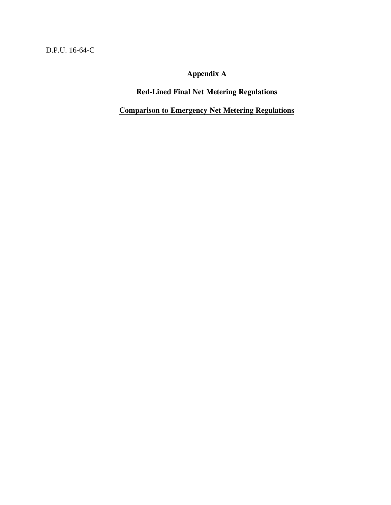D.P.U. 16-64-C

**Appendix A**

# **Red-Lined Final Net Metering Regulations**

**Comparison to Emergency Net Metering Regulations**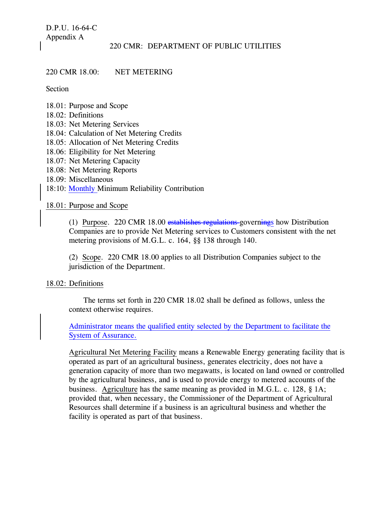D.P.U. 16-64-C Appendix A

#### 220 CMR: DEPARTMENT OF PUBLIC UTILITIES

#### 220 CMR 18.00: NET METERING

Section

- 18.01: Purpose and Scope
- 18.02: Definitions
- 18.03: Net Metering Services
- 18.04: Calculation of Net Metering Credits
- 18.05: Allocation of Net Metering Credits
- 18.06: Eligibility for Net Metering
- 18.07: Net Metering Capacity
- 18.08: Net Metering Reports
- 18.09: Miscellaneous
- 18:10: Monthly Minimum Reliability Contribution

#### 18.01: Purpose and Scope

(1) Purpose. 220 CMR 18.00 establishes regulations governings how Distribution Companies are to provide Net Metering services to Customers consistent with the net metering provisions of M.G.L. c. 164, §§ 138 through 140.

(2) Scope. 220 CMR 18.00 applies to all Distribution Companies subject to the jurisdiction of the Department.

#### 18.02: Definitions

The terms set forth in 220 CMR 18.02 shall be defined as follows, unless the context otherwise requires.

Administrator means the qualified entity selected by the Department to facilitate the System of Assurance.

Agricultural Net Metering Facility means a Renewable Energy generating facility that is operated as part of an agricultural business, generates electricity, does not have a generation capacity of more than two megawatts, is located on land owned or controlled by the agricultural business, and is used to provide energy to metered accounts of the business. Agriculture has the same meaning as provided in M.G.L. c. 128, § 1A; provided that, when necessary, the Commissioner of the Department of Agricultural Resources shall determine if a business is an agricultural business and whether the facility is operated as part of that business.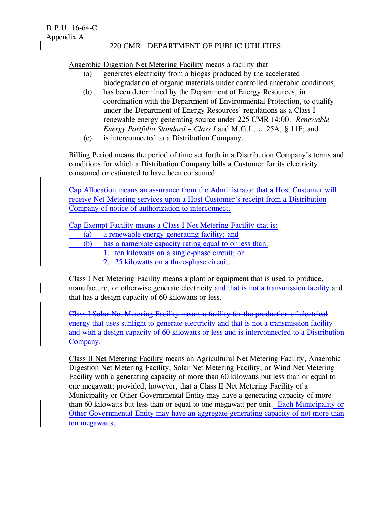D.P.U. 16-64-C Appendix A

#### 220 CMR: DEPARTMENT OF PUBLIC UTILITIES

Anaerobic Digestion Net Metering Facility means a facility that

- (a) generates electricity from a biogas produced by the accelerated biodegradation of organic materials under controlled anaerobic conditions;
- (b) has been determined by the Department of Energy Resources, in coordination with the Department of Environmental Protection, to qualify under the Department of Energy Resources' regulations as a Class I renewable energy generating source under 225 CMR 14:00: *Renewable Energy Portfolio Standard – Class I* and M.G.L. c. 25A, § 11F; and
- (c) is interconnected to a Distribution Company.

Billing Period means the period of time set forth in a Distribution Company's terms and conditions for which a Distribution Company bills a Customer for its electricity consumed or estimated to have been consumed.

Cap Allocation means an assurance from the Administrator that a Host Customer will receive Net Metering services upon a Host Customer's receipt from a Distribution Company of notice of authorization to interconnect.

Cap Exempt Facility means a Class I Net Metering Facility that is:

- (a) a renewable energy generating facility; and
- (b) has a nameplate capacity rating equal to or less than:
	- 1. ten kilowatts on a single-phase circuit; or
	- 2. 25 kilowatts on a three-phase circuit.

Class I Net Metering Facility means a plant or equipment that is used to produce, manufacture, or otherwise generate electricity and that is not a transmission facility and that has a design capacity of 60 kilowatts or less.

Class I Solar Net Metering Facility means a facility for the production of electrical energy that uses sunlight to generate electricity and that is not a transmission facility and with a design capacity of 60 kilowatts or less and is interconnected to a Distribution Company.

Class II Net Metering Facility means an Agricultural Net Metering Facility, Anaerobic Digestion Net Metering Facility, Solar Net Metering Facility, or Wind Net Metering Facility with a generating capacity of more than 60 kilowatts but less than or equal to one megawatt; provided, however, that a Class II Net Metering Facility of a Municipality or Other Governmental Entity may have a generating capacity of more than 60 kilowatts but less than or equal to one megawatt per unit. Each Municipality or Other Governmental Entity may have an aggregate generating capacity of not more than ten megawatts.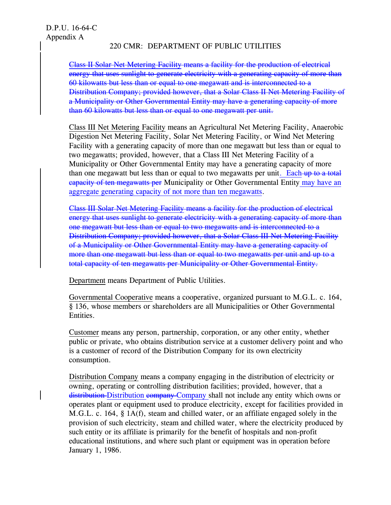Class II Solar Net Metering Facility means a facility for the production of electrical energy that uses sunlight to generate electricity with a generating capacity of more than 60 kilowatts but less than or equal to one megawatt and is interconnected to a Distribution Company; provided however, that a Solar Class II Net Metering Facility of a Municipality or Other Governmental Entity may have a generating capacity of more than 60 kilowatts but less than or equal to one megawatt per unit.

Class III Net Metering Facility means an Agricultural Net Metering Facility, Anaerobic Digestion Net Metering Facility, Solar Net Metering Facility, or Wind Net Metering Facility with a generating capacity of more than one megawatt but less than or equal to two megawatts; provided, however, that a Class III Net Metering Facility of a Municipality or Other Governmental Entity may have a generating capacity of more than one megawatt but less than or equal to two megawatts per unit. Each-up to a total capacity of ten megawatts per Municipality or Other Governmental Entity may have an aggregate generating capacity of not more than ten megawatts.

Class III Solar Net Metering Facility means a facility for the production of electrical energy that uses sunlight to generate electricity with a generating capacity of more than one megawatt but less than or equal to two megawatts and is interconnected to a Distribution Company; provided however, that a Solar Class III Net Metering Facility of a Municipality or Other Governmental Entity may have a generating capacity of more than one megawatt but less than or equal to two megawatts per unit and up to a total capacity of ten megawatts per Municipality or Other Governmental Entity.

Department means Department of Public Utilities.

Governmental Cooperative means a cooperative, organized pursuant to M.G.L. c. 164, § 136, whose members or shareholders are all Municipalities or Other Governmental Entities.

Customer means any person, partnership, corporation, or any other entity, whether public or private, who obtains distribution service at a customer delivery point and who is a customer of record of the Distribution Company for its own electricity consumption.

Distribution Company means a company engaging in the distribution of electricity or owning, operating or controlling distribution facilities; provided, however, that a distribution Distribution company Company shall not include any entity which owns or operates plant or equipment used to produce electricity, except for facilities provided in M.G.L. c. 164, § 1A(f), steam and chilled water, or an affiliate engaged solely in the provision of such electricity, steam and chilled water, where the electricity produced by such entity or its affiliate is primarily for the benefit of hospitals and non-profit educational institutions, and where such plant or equipment was in operation before January 1, 1986.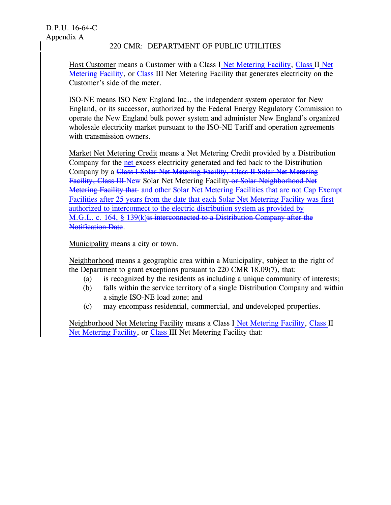Host Customer means a Customer with a Class I Net Metering Facility, Class II Net Metering Facility, or Class III Net Metering Facility that generates electricity on the Customer's side of the meter.

ISO-NE means ISO New England Inc., the independent system operator for New England, or its successor, authorized by the Federal Energy Regulatory Commission to operate the New England bulk power system and administer New England's organized wholesale electricity market pursuant to the ISO-NE Tariff and operation agreements with transmission owners.

Market Net Metering Credit means a Net Metering Credit provided by a Distribution Company for the net excess electricity generated and fed back to the Distribution Company by a Class I Solar Net Metering Facility, Class II Solar Net Metering Facility, Class III New Solar Net Metering Facility or Solar Neighborhood Net Metering Facility that and other Solar Net Metering Facilities that are not Cap Exempt Facilities after 25 years from the date that each Solar Net Metering Facility was first authorized to interconnect to the electric distribution system as provided by M.G.L. c. 164, § 139(k) is interconnected to a Distribution Company after the **Notification Date.** 

Municipality means a city or town.

Neighborhood means a geographic area within a Municipality, subject to the right of the Department to grant exceptions pursuant to 220 CMR 18.09(7), that:

- (a) is recognized by the residents as including a unique community of interests;
- (b) falls within the service territory of a single Distribution Company and within a single ISO-NE load zone; and
- (c) may encompass residential, commercial, and undeveloped properties.

Neighborhood Net Metering Facility means a Class I Net Metering Facility, Class II Net Metering Facility, or Class III Net Metering Facility that: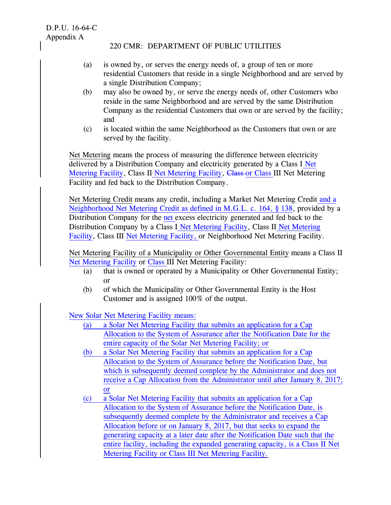- (a) is owned by, or serves the energy needs of, a group of ten or more residential Customers that reside in a single Neighborhood and are served by a single Distribution Company;
- (b) may also be owned by, or serve the energy needs of, other Customers who reside in the same Neighborhood and are served by the same Distribution Company as the residential Customers that own or are served by the facility; and
- (c) is located within the same Neighborhood as the Customers that own or are served by the facility.

Net Metering means the process of measuring the difference between electricity delivered by a Distribution Company and electricity generated by a Class I Net Metering Facility, Class II Net Metering Facility, Class or Class III Net Metering Facility and fed back to the Distribution Company.

Net Metering Credit means any credit, including a Market Net Metering Credit and a Neighborhood Net Metering Credit as defined in M.G.L. c. 164, § 138, provided by a Distribution Company for the net excess electricity generated and fed back to the Distribution Company by a Class I Net Metering Facility, Class II Net Metering Facility, Class III Net Metering Facility, or Neighborhood Net Metering Facility.

Net Metering Facility of a Municipality or Other Governmental Entity means a Class II Net Metering Facility or Class III Net Metering Facility:

- (a) that is owned or operated by a Municipality or Other Governmental Entity; or
- (b) of which the Municipality or Other Governmental Entity is the Host Customer and is assigned 100% of the output.

New Solar Net Metering Facility means:

- (a) a Solar Net Metering Facility that submits an application for a Cap Allocation to the System of Assurance after the Notification Date for the entire capacity of the Solar Net Metering Facility; or
- (b) a Solar Net Metering Facility that submits an application for a Cap Allocation to the System of Assurance before the Notification Date, but which is subsequently deemed complete by the Administrator and does not receive a Cap Allocation from the Administrator until after January 8, 2017; or
- (c) a Solar Net Metering Facility that submits an application for a Cap Allocation to the System of Assurance before the Notification Date, is subsequently deemed complete by the Administrator and receives a Cap Allocation before or on January 8, 2017, but that seeks to expand the generating capacity at a later date after the Notification Date such that the entire facility, including the expanded generating capacity, is a Class II Net Metering Facility or Class III Net Metering Facility.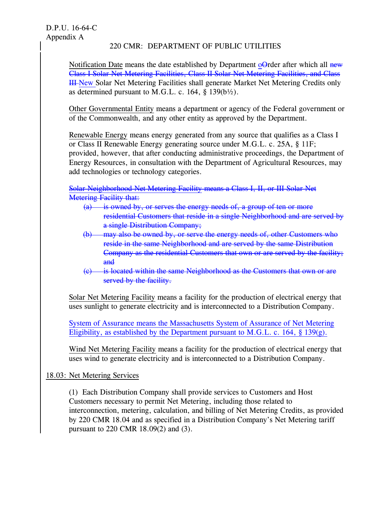Notification Date means the date established by Department o<del>O</del>rder after which all new Class I Solar Net Metering Facilities, Class II Solar Net Metering Facilities, and Class III New Solar Net Metering Facilities shall generate Market Net Metering Credits only as determined pursuant to M.G.L. c. 164,  $\S$  139(b $\frac{1}{2}$ ).

Other Governmental Entity means a department or agency of the Federal government or of the Commonwealth, and any other entity as approved by the Department.

Renewable Energy means energy generated from any source that qualifies as a Class I or Class II Renewable Energy generating source under M.G.L. c. 25A, § 11F; provided, however, that after conducting administrative proceedings, the Department of Energy Resources, in consultation with the Department of Agricultural Resources, may add technologies or technology categories.

Solar Neighborhood Net Metering Facility means a Class I, II, or III Solar Net **Metering Facility that:** 

- (a) is owned by, or serves the energy needs of, a group of ten or more residential Customers that reside in a single Neighborhood and are served by a single Distribution Company;
- (b) may also be owned by, or serve the energy needs of, other Customers who reside in the same Neighborhood and are served by the same Distribution Company as the residential Customers that own or are served by the facility; and
- (c) is located within the same Neighborhood as the Customers that own or are served by the facility.

Solar Net Metering Facility means a facility for the production of electrical energy that uses sunlight to generate electricity and is interconnected to a Distribution Company.

System of Assurance means the Massachusetts System of Assurance of Net Metering Eligibility, as established by the Department pursuant to M.G.L. c. 164,  $\S$  139(g).

Wind Net Metering Facility means a facility for the production of electrical energy that uses wind to generate electricity and is interconnected to a Distribution Company.

18.03: Net Metering Services

(1) Each Distribution Company shall provide services to Customers and Host Customers necessary to permit Net Metering, including those related to interconnection, metering, calculation, and billing of Net Metering Credits, as provided by 220 CMR 18.04 and as specified in a Distribution Company's Net Metering tariff pursuant to 220 CMR 18.09(2) and (3).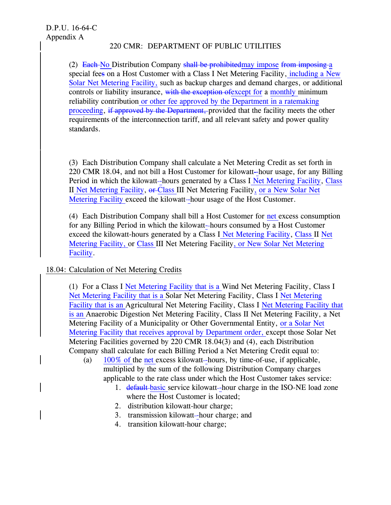(2) Each-No Distribution Company shall be prohibited may impose from imposing a special fees on a Host Customer with a Class I Net Metering Facility, including a New Solar Net Metering Facility, such as backup charges and demand charges, or additional controls or liability insurance, with the exception of except for a monthly minimum reliability contribution or other fee approved by the Department in a ratemaking proceeding, if approved by the Department, provided that the facility meets the other requirements of the interconnection tariff, and all relevant safety and power quality standards.

(3) Each Distribution Company shall calculate a Net Metering Credit as set forth in 220 CMR 18.04, and not bill a Host Customer for kilowatt-hour usage, for any Billing Period in which the kilowatt-hours generated by a Class I Net Metering Facility, Class II Net Metering Facility, or Class III Net Metering Facility, or a New Solar Net Metering Facility exceed the kilowatt-hour usage of the Host Customer.

(4) Each Distribution Company shall bill a Host Customer for net excess consumption for any Billing Period in which the kilowatt- hours consumed by a Host Customer exceed the kilowatt-hours generated by a Class I Net Metering Facility, Class II Net Metering Facility, or Class III Net Metering Facility, or New Solar Net Metering Facility.

# 18.04: Calculation of Net Metering Credits

(1) For a Class I Net Metering Facility that is a Wind Net Metering Facility, Class I Net Metering Facility that is a Solar Net Metering Facility, Class I Net Metering Facility that is an Agricultural Net Metering Facility, Class I Net Metering Facility that is an Anaerobic Digestion Net Metering Facility, Class II Net Metering Facility, a Net Metering Facility of a Municipality or Other Governmental Entity, or a Solar Net Metering Facility that receives approval by Department order, except those Solar Net Metering Facilities governed by 220 CMR 18.04(3) and (4), each Distribution Company shall calculate for each Billing Period a Net Metering Credit equal to:

- (a)  $100\%$  of the net excess kilowatt-hours, by time-of-use, if applicable, multiplied by the sum of the following Distribution Company charges applicable to the rate class under which the Host Customer takes service:
	- 1. default basic service kilowatt-hour charge in the ISO-NE load zone where the Host Customer is located;
	- 2. distribution kilowatt-hour charge;
	- 3. transmission kilowatt-hour charge; and
	- 4. transition kilowatt-hour charge;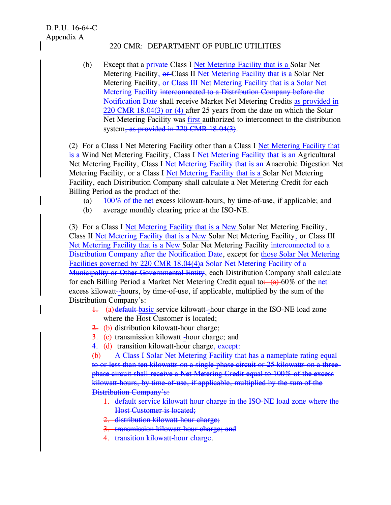D.P.U. 16-64-C Appendix A

### 220 CMR: DEPARTMENT OF PUBLIC UTILITIES

(b) Except that a private Class I Net Metering Facility that is a Solar Net Metering Facility,  $\theta$  Class II Net Metering Facility that is a Solar Net Metering Facility, or Class III Net Metering Facility that is a Solar Net Metering Facility interconnected to a Distribution Company before the Notification Date shall receive Market Net Metering Credits as provided in 220 CMR 18.04(3) or (4) after 25 years from the date on which the Solar Net Metering Facility was first authorized to interconnect to the distribution system, as provided in 220 CMR 18.04(3).

(2) For a Class I Net Metering Facility other than a Class I Net Metering Facility that is a Wind Net Metering Facility, Class I Net Metering Facility that is an Agricultural Net Metering Facility, Class I Net Metering Facility that is an Anaerobic Digestion Net Metering Facility, or a Class I Net Metering Facility that is a Solar Net Metering Facility, each Distribution Company shall calculate a Net Metering Credit for each Billing Period as the product of the:

- (a) 100% of the net excess kilowatt-hours, by time-of-use, if applicable; and
- (b) average monthly clearing price at the ISO-NE.

(3) For a Class I Net Metering Facility that is a New Solar Net Metering Facility, Class II Net Metering Facility that is a New Solar Net Metering Facility, or Class III Net Metering Facility that is a New Solar Net Metering Facility interconnected to a Distribution Company after the Notification Date, except for those Solar Net Metering Facilities governed by 220 CMR 18.04(4)a Solar Net Metering Facility of a Municipality or Other Governmental Entity, each Distribution Company shall calculate for each Billing Period a Market Net Metering Credit equal to:  $(a)$  60% of the net excess kilowatt--hours, by time-of-use, if applicable, multiplied by the sum of the Distribution Company's:

- 1. (a) default basic service kilowatt-hour charge in the ISO-NE load zone where the Host Customer is located;
- 2. (b) distribution kilowatt-hour charge:
- 3. (c) transmission kilowatt--hour charge; and
- 4. (d) transition kilowatt-hour charge, except:

(b) A Class I Solar Net Metering Facility that has a nameplate rating equal to or less than ten kilowatts on a single-phase circuit or 25 kilowatts on a threephase circuit shall receive a Net Metering Credit equal to 100% of the excess kilowatt-hours, by time-of-use, if applicable, multiplied by the sum of the Distribution Company's:

- 1. default service kilowatt hour charge in the ISO-NE load zone where the Host Customer is located;
- 2. distribution kilowatt-hour charge;
- 3. transmission kilowatt hour charge; and
- 4. transition kilowatt-hour charge.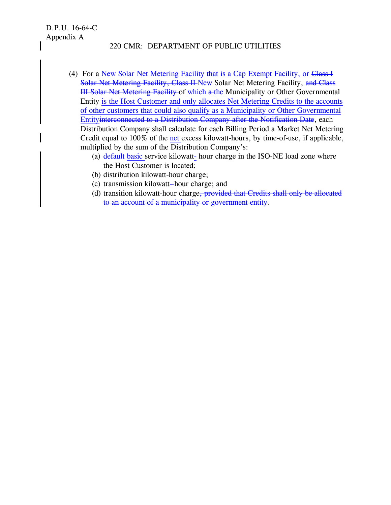- (4) For a New Solar Net Metering Facility that is a Cap Exempt Facility, or Class I Solar Net Metering Facility, Class II New Solar Net Metering Facility, and Class III Solar Net Metering Facility of which a the Municipality or Other Governmental Entity is the Host Customer and only allocates Net Metering Credits to the accounts of other customers that could also qualify as a Municipality or Other Governmental Entityinterconnected to a Distribution Company after the Notification Date, each Distribution Company shall calculate for each Billing Period a Market Net Metering Credit equal to 100% of the net excess kilowatt-hours, by time-of-use, if applicable, multiplied by the sum of the Distribution Company's:
	- (a) default-basic service kilowatt-hour charge in the ISO-NE load zone where the Host Customer is located;
	- (b) distribution kilowatt-hour charge;
	- (c) transmission kilowatt- hour charge; and
	- (d) transition kilowatt-hour charge<del>, provided that Credits shall only be allocated</del> to an account of a municipality or government entity.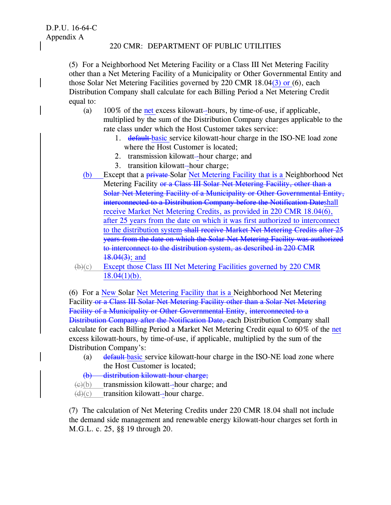(5) For a Neighborhood Net Metering Facility or a Class III Net Metering Facility other than a Net Metering Facility of a Municipality or Other Governmental Entity and those Solar Net Metering Facilities governed by 220 CMR 18.04(3) or (6), each Distribution Company shall calculate for each Billing Period a Net Metering Credit equal to:

- (a)  $100\%$  of the net excess kilowatt-hours, by time-of-use, if applicable, multiplied by the sum of the Distribution Company charges applicable to the rate class under which the Host Customer takes service:
	- 1. default-basic service kilowatt-hour charge in the ISO-NE load zone where the Host Customer is located;
	- 2. transmission kilowatt-hour charge; and
	- 3. transition kilowatt-hour charge;
- (b) Except that a private Solar Net Metering Facility that is a Neighborhood Net Metering Facility or a Class III Solar Net Metering Facility, other than a Solar Net Metering Facility of a Municipality or Other Governmental Entity, interconnected to a Distribution Company before the Notification Dateshall receive Market Net Metering Credits, as provided in 220 CMR 18.04(6), after 25 years from the date on which it was first authorized to interconnect to the distribution system shall receive Market Net Metering Credits after 25 years from the date on which the Solar Net Metering Facility was authorized to interconnect to the distribution system, as described in 220 CMR 18.04(3); and
- (b)(c) Except those Class III Net Metering Facilities governed by 220 CMR  $18.04(1)(b)$ .

(6) For a New Solar Net Metering Facility that is a Neighborhood Net Metering Facility or a Class III Solar Net Metering Facility other than a Solar Net Metering Facility of a Municipality or Other Governmental Entity, interconnected to a Distribution Company after the Notification Date, each Distribution Company shall calculate for each Billing Period a Market Net Metering Credit equal to 60% of the net excess kilowatt-hours, by time-of-use, if applicable, multiplied by the sum of the Distribution Company's:

(a) default basic service kilowatt-hour charge in the ISO-NE load zone where the Host Customer is located;

(b) distribution kilowatt-hour charge;

 $\leftrightarrow$  (b) transmission kilowatt--hour charge; and

 $(d)(c)$  transition kilowatt-hour charge.

(7) The calculation of Net Metering Credits under 220 CMR 18.04 shall not include the demand side management and renewable energy kilowatt-hour charges set forth in M.G.L. c. 25, §§ 19 through 20.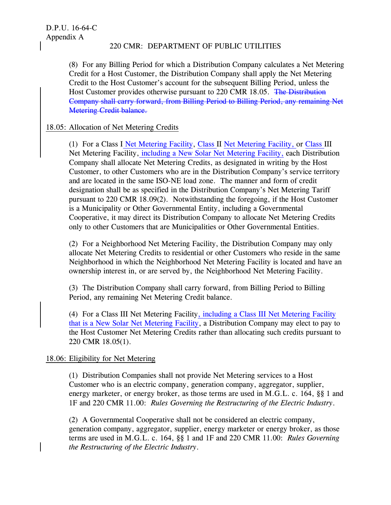(8) For any Billing Period for which a Distribution Company calculates a Net Metering Credit for a Host Customer, the Distribution Company shall apply the Net Metering Credit to the Host Customer's account for the subsequent Billing Period, unless the Host Customer provides otherwise pursuant to 220 CMR 18.05. The Distribution Company shall carry forward, from Billing Period to Billing Period, any remaining Net Metering Credit balance.

## 18.05: Allocation of Net Metering Credits

(1) For a Class I Net Metering Facility, Class II Net Metering Facility, or Class III Net Metering Facility, including a New Solar Net Metering Facility, each Distribution Company shall allocate Net Metering Credits, as designated in writing by the Host Customer, to other Customers who are in the Distribution Company's service territory and are located in the same ISO-NE load zone. The manner and form of credit designation shall be as specified in the Distribution Company's Net Metering Tariff pursuant to 220 CMR 18.09(2). Notwithstanding the foregoing, if the Host Customer is a Municipality or Other Governmental Entity, including a Governmental Cooperative, it may direct its Distribution Company to allocate Net Metering Credits only to other Customers that are Municipalities or Other Governmental Entities.

(2) For a Neighborhood Net Metering Facility, the Distribution Company may only allocate Net Metering Credits to residential or other Customers who reside in the same Neighborhood in which the Neighborhood Net Metering Facility is located and have an ownership interest in, or are served by, the Neighborhood Net Metering Facility.

(3) The Distribution Company shall carry forward, from Billing Period to Billing Period, any remaining Net Metering Credit balance.

(4) For a Class III Net Metering Facility, including a Class III Net Metering Facility that is a New Solar Net Metering Facility, a Distribution Company may elect to pay to the Host Customer Net Metering Credits rather than allocating such credits pursuant to 220 CMR 18.05(1).

## 18.06: Eligibility for Net Metering

(1) Distribution Companies shall not provide Net Metering services to a Host Customer who is an electric company, generation company, aggregator, supplier, energy marketer, or energy broker, as those terms are used in M.G.L. c. 164, §§ 1 and 1F and 220 CMR 11.00: *Rules Governing the Restructuring of the Electric Industry*.

(2) A Governmental Cooperative shall not be considered an electric company, generation company, aggregator, supplier, energy marketer or energy broker, as those terms are used in M.G.L. c. 164, §§ 1 and 1F and 220 CMR 11.00: *Rules Governing the Restructuring of the Electric Industry*.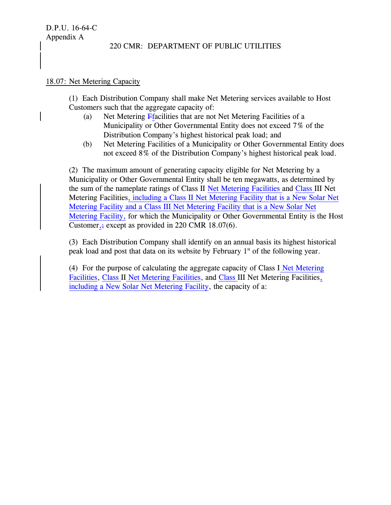#### 18.07: Net Metering Capacity

(1) Each Distribution Company shall make Net Metering services available to Host Customers such that the aggregate capacity of:

- (a) Net Metering Ffacilities that are not Net Metering Facilities of a Municipality or Other Governmental Entity does not exceed 7% of the Distribution Company's highest historical peak load; and
- (b) Net Metering Facilities of a Municipality or Other Governmental Entity does not exceed 8% of the Distribution Company's highest historical peak load.

(2) The maximum amount of generating capacity eligible for Net Metering by a Municipality or Other Governmental Entity shall be ten megawatts, as determined by the sum of the nameplate ratings of Class II Net Metering Facilities and Class III Net Metering Facilities, including a Class II Net Metering Facility that is a New Solar Net Metering Facility and a Class III Net Metering Facility that is a New Solar Net Metering Facility, for which the Municipality or Other Governmental Entity is the Host Customer,  $\div$  except as provided in 220 CMR 18.07(6).

(3) Each Distribution Company shall identify on an annual basis its highest historical peak load and post that data on its website by February  $1<sup>st</sup>$  of the following year.

(4) For the purpose of calculating the aggregate capacity of Class I Net Metering Facilities, Class II Net Metering Facilities, and Class III Net Metering Facilities, including a New Solar Net Metering Facility, the capacity of a: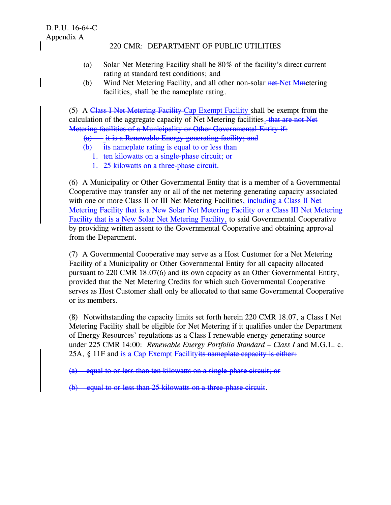- (a) Solar Net Metering Facility shall be 80% of the facility's direct current rating at standard test conditions; and
- (b) Wind Net Metering Facility, and all other non-solar net-Net Mmetering facilities, shall be the nameplate rating.

(5) A Class I Net Metering Facility Cap Exempt Facility shall be exempt from the calculation of the aggregate capacity of Net Metering facilities. that are not Net Metering facilities of a Municipality or Other Governmental Entity if:

 $\overrightarrow{a}$  it is a Renewable Energy generating facility; and

- (b) its nameplate rating is equal to or less than
	- 1. ten kilowatts on a single-phase circuit; or
	- 1. 25 kilowatts on a three-phase circuit.

(6) A Municipality or Other Governmental Entity that is a member of a Governmental Cooperative may transfer any or all of the net metering generating capacity associated with one or more Class II or III Net Metering Facilities, including a Class II Net Metering Facility that is a New Solar Net Metering Facility or a Class III Net Metering Facility that is a New Solar Net Metering Facility, to said Governmental Cooperative by providing written assent to the Governmental Cooperative and obtaining approval from the Department.

(7) A Governmental Cooperative may serve as a Host Customer for a Net Metering Facility of a Municipality or Other Governmental Entity for all capacity allocated pursuant to 220 CMR 18.07(6) and its own capacity as an Other Governmental Entity, provided that the Net Metering Credits for which such Governmental Cooperative serves as Host Customer shall only be allocated to that same Governmental Cooperative or its members.

(8) Notwithstanding the capacity limits set forth herein 220 CMR 18.07, a Class I Net Metering Facility shall be eligible for Net Metering if it qualifies under the Department of Energy Resources' regulations as a Class I renewable energy generating source under 225 CMR 14:00: *Renewable Energy Portfolio Standard – Class I* and M.G.L. c. 25A, § 11F and is a Cap Exempt Facility its nameplate capacity is either.

(a) equal to or less than ten kilowatts on a single-phase circuit; or

(b) equal to or less than 25 kilowatts on a three-phase circuit.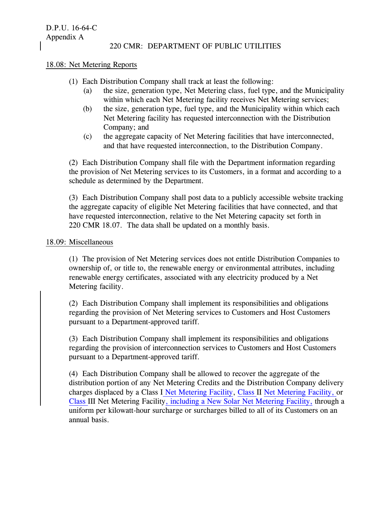D.P.U. 16-64-C Appendix A

### 220 CMR: DEPARTMENT OF PUBLIC UTILITIES

#### 18.08: Net Metering Reports

- (1) Each Distribution Company shall track at least the following:
	- (a) the size, generation type, Net Metering class, fuel type, and the Municipality within which each Net Metering facility receives Net Metering services;
	- (b) the size, generation type, fuel type, and the Municipality within which each Net Metering facility has requested interconnection with the Distribution Company; and
	- (c) the aggregate capacity of Net Metering facilities that have interconnected, and that have requested interconnection, to the Distribution Company.

(2) Each Distribution Company shall file with the Department information regarding the provision of Net Metering services to its Customers, in a format and according to a schedule as determined by the Department.

(3) Each Distribution Company shall post data to a publicly accessible website tracking the aggregate capacity of eligible Net Metering facilities that have connected, and that have requested interconnection, relative to the Net Metering capacity set forth in 220 CMR 18.07. The data shall be updated on a monthly basis.

#### 18.09: Miscellaneous

(1) The provision of Net Metering services does not entitle Distribution Companies to ownership of, or title to, the renewable energy or environmental attributes, including renewable energy certificates, associated with any electricity produced by a Net Metering facility.

(2) Each Distribution Company shall implement its responsibilities and obligations regarding the provision of Net Metering services to Customers and Host Customers pursuant to a Department-approved tariff.

(3) Each Distribution Company shall implement its responsibilities and obligations regarding the provision of interconnection services to Customers and Host Customers pursuant to a Department-approved tariff.

(4) Each Distribution Company shall be allowed to recover the aggregate of the distribution portion of any Net Metering Credits and the Distribution Company delivery charges displaced by a Class I Net Metering Facility, Class II Net Metering Facility, or Class III Net Metering Facility, including a New Solar Net Metering Facility, through a uniform per kilowatt-hour surcharge or surcharges billed to all of its Customers on an annual basis.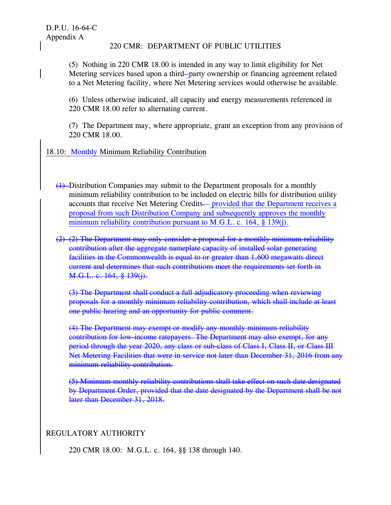(5) Nothing in 220 CMR 18.00 is intended in any way to limit eligibility for Net Metering services based upon a third--party ownership or financing agreement related to a Net Metering facility, where Net Metering services would otherwise be available.

(6) Unless otherwise indicated, all capacity and energy measurements referenced in 220 CMR 18.00 refer to alternating current.

(7) The Department may, where appropriate, grant an exception from any provision of 220 CMR 18.00.

# 18.10: Monthly Minimum Reliability Contribution

- (1) Distribution Companies may submit to the Department proposals for a monthly minimum reliability contribution to be included on electric bills for distribution utility accounts that receive Net Metering Credits— provided that the Department receives a proposal from such Distribution Company and subsequently approves the monthly minimum reliability contribution pursuant to M.G.L. c. 164, § 139(j).
- (2) (2) The Department may only consider a proposal for a monthly minimum reliability contribution after the aggregate nameplate capacity of installed solar generating facilities in the Commonwealth is equal to or greater than 1,600 megawatts direct current and determines that such contributions meet the requirements set forth in M.G.L. c. 164, § 139(j).

(3) The Department shall conduct a full adjudicatory proceeding when reviewing proposals for a monthly minimum reliability contribution, which shall include at least one public hearing and an opportunity for public comment.

(4) The Department may exempt or modify any monthly minimum reliability contribution for low-income ratepayers. The Department may also exempt, for any period through the year 2020, any class or sub-class of Class I, Class II, or Class III Net Metering Facilities that were in service not later than December 31, 2016 from any minimum reliability contribution.

(5) Minimum monthly reliability contributions shall take effect on such date designated by Department Order, provided that the date designated by the Department shall be not later than December 31, 2018.

# REGULATORY AUTHORITY

220 CMR 18.00: M.G.L. c. 164, §§ 138 through 140.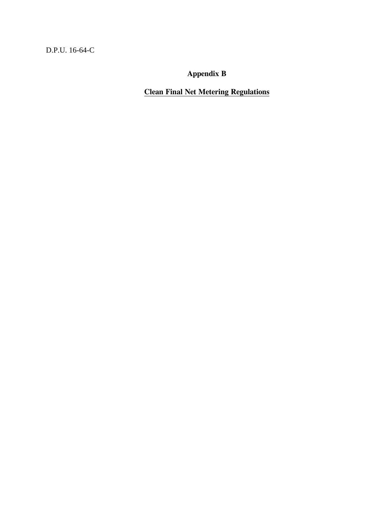D.P.U. 16-64-C

**Appendix B**

**Clean Final Net Metering Regulations**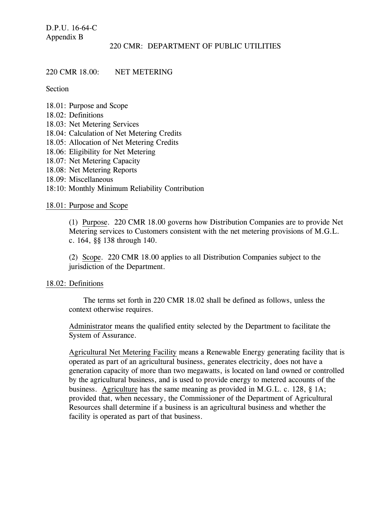D.P.U. 16-64-C Appendix B

#### 220 CMR: DEPARTMENT OF PUBLIC UTILITIES

#### 220 CMR 18.00: NET METERING

Section

- 18.01: Purpose and Scope
- 18.02: Definitions
- 18.03: Net Metering Services
- 18.04: Calculation of Net Metering Credits
- 18.05: Allocation of Net Metering Credits
- 18.06: Eligibility for Net Metering
- 18.07: Net Metering Capacity
- 18.08: Net Metering Reports
- 18.09: Miscellaneous
- 18:10: Monthly Minimum Reliability Contribution

#### 18.01: Purpose and Scope

(1) Purpose. 220 CMR 18.00 governs how Distribution Companies are to provide Net Metering services to Customers consistent with the net metering provisions of M.G.L. c. 164, §§ 138 through 140.

(2) Scope. 220 CMR 18.00 applies to all Distribution Companies subject to the jurisdiction of the Department.

#### 18.02: Definitions

The terms set forth in 220 CMR 18.02 shall be defined as follows, unless the context otherwise requires.

Administrator means the qualified entity selected by the Department to facilitate the System of Assurance.

Agricultural Net Metering Facility means a Renewable Energy generating facility that is operated as part of an agricultural business, generates electricity, does not have a generation capacity of more than two megawatts, is located on land owned or controlled by the agricultural business, and is used to provide energy to metered accounts of the business. Agriculture has the same meaning as provided in M.G.L. c. 128, § 1A; provided that, when necessary, the Commissioner of the Department of Agricultural Resources shall determine if a business is an agricultural business and whether the facility is operated as part of that business.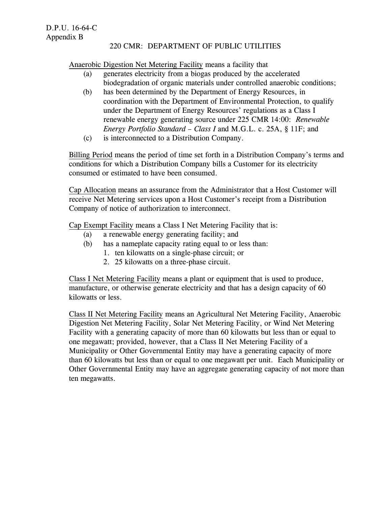Anaerobic Digestion Net Metering Facility means a facility that

- (a) generates electricity from a biogas produced by the accelerated biodegradation of organic materials under controlled anaerobic conditions;
- (b) has been determined by the Department of Energy Resources, in coordination with the Department of Environmental Protection, to qualify under the Department of Energy Resources' regulations as a Class I renewable energy generating source under 225 CMR 14:00: *Renewable Energy Portfolio Standard – Class I* and M.G.L. c. 25A, § 11F; and
- (c) is interconnected to a Distribution Company.

Billing Period means the period of time set forth in a Distribution Company's terms and conditions for which a Distribution Company bills a Customer for its electricity consumed or estimated to have been consumed.

Cap Allocation means an assurance from the Administrator that a Host Customer will receive Net Metering services upon a Host Customer's receipt from a Distribution Company of notice of authorization to interconnect.

Cap Exempt Facility means a Class I Net Metering Facility that is:

- (a) a renewable energy generating facility; and
- (b) has a nameplate capacity rating equal to or less than:
	- 1. ten kilowatts on a single-phase circuit; or
	- 2. 25 kilowatts on a three-phase circuit.

Class I Net Metering Facility means a plant or equipment that is used to produce, manufacture, or otherwise generate electricity and that has a design capacity of 60 kilowatts or less.

Class II Net Metering Facility means an Agricultural Net Metering Facility, Anaerobic Digestion Net Metering Facility, Solar Net Metering Facility, or Wind Net Metering Facility with a generating capacity of more than 60 kilowatts but less than or equal to one megawatt; provided, however, that a Class II Net Metering Facility of a Municipality or Other Governmental Entity may have a generating capacity of more than 60 kilowatts but less than or equal to one megawatt per unit. Each Municipality or Other Governmental Entity may have an aggregate generating capacity of not more than ten megawatts.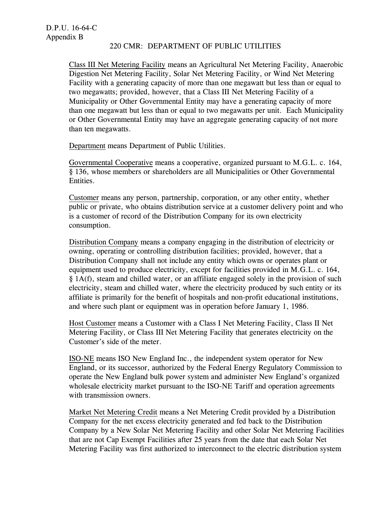Class III Net Metering Facility means an Agricultural Net Metering Facility, Anaerobic Digestion Net Metering Facility, Solar Net Metering Facility, or Wind Net Metering Facility with a generating capacity of more than one megawatt but less than or equal to two megawatts; provided, however, that a Class III Net Metering Facility of a Municipality or Other Governmental Entity may have a generating capacity of more than one megawatt but less than or equal to two megawatts per unit. Each Municipality or Other Governmental Entity may have an aggregate generating capacity of not more than ten megawatts.

Department means Department of Public Utilities.

Governmental Cooperative means a cooperative, organized pursuant to M.G.L. c. 164, § 136, whose members or shareholders are all Municipalities or Other Governmental Entities.

Customer means any person, partnership, corporation, or any other entity, whether public or private, who obtains distribution service at a customer delivery point and who is a customer of record of the Distribution Company for its own electricity consumption.

Distribution Company means a company engaging in the distribution of electricity or owning, operating or controlling distribution facilities; provided, however, that a Distribution Company shall not include any entity which owns or operates plant or equipment used to produce electricity, except for facilities provided in M.G.L. c. 164, § 1A(f), steam and chilled water, or an affiliate engaged solely in the provision of such electricity, steam and chilled water, where the electricity produced by such entity or its affiliate is primarily for the benefit of hospitals and non-profit educational institutions, and where such plant or equipment was in operation before January 1, 1986.

Host Customer means a Customer with a Class I Net Metering Facility, Class II Net Metering Facility, or Class III Net Metering Facility that generates electricity on the Customer's side of the meter.

ISO-NE means ISO New England Inc., the independent system operator for New England, or its successor, authorized by the Federal Energy Regulatory Commission to operate the New England bulk power system and administer New England's organized wholesale electricity market pursuant to the ISO-NE Tariff and operation agreements with transmission owners.

Market Net Metering Credit means a Net Metering Credit provided by a Distribution Company for the net excess electricity generated and fed back to the Distribution Company by a New Solar Net Metering Facility and other Solar Net Metering Facilities that are not Cap Exempt Facilities after 25 years from the date that each Solar Net Metering Facility was first authorized to interconnect to the electric distribution system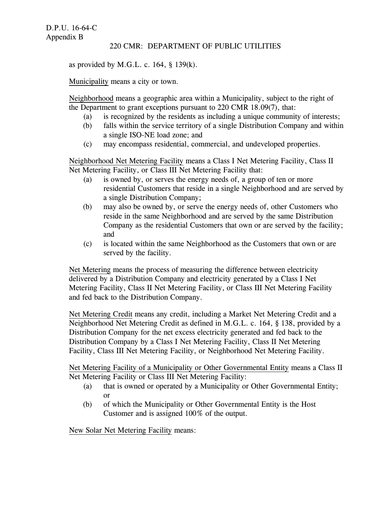as provided by M.G.L. c.  $164$ , §  $139(k)$ .

Municipality means a city or town.

Neighborhood means a geographic area within a Municipality, subject to the right of the Department to grant exceptions pursuant to 220 CMR 18.09(7), that:

- (a) is recognized by the residents as including a unique community of interests;
- (b) falls within the service territory of a single Distribution Company and within a single ISO-NE load zone; and
- (c) may encompass residential, commercial, and undeveloped properties.

Neighborhood Net Metering Facility means a Class I Net Metering Facility, Class II Net Metering Facility, or Class III Net Metering Facility that:

- (a) is owned by, or serves the energy needs of, a group of ten or more residential Customers that reside in a single Neighborhood and are served by a single Distribution Company;
- (b) may also be owned by, or serve the energy needs of, other Customers who reside in the same Neighborhood and are served by the same Distribution Company as the residential Customers that own or are served by the facility; and
- (c) is located within the same Neighborhood as the Customers that own or are served by the facility.

Net Metering means the process of measuring the difference between electricity delivered by a Distribution Company and electricity generated by a Class I Net Metering Facility, Class II Net Metering Facility, or Class III Net Metering Facility and fed back to the Distribution Company.

Net Metering Credit means any credit, including a Market Net Metering Credit and a Neighborhood Net Metering Credit as defined in M.G.L. c. 164, § 138, provided by a Distribution Company for the net excess electricity generated and fed back to the Distribution Company by a Class I Net Metering Facility, Class II Net Metering Facility, Class III Net Metering Facility, or Neighborhood Net Metering Facility.

Net Metering Facility of a Municipality or Other Governmental Entity means a Class II Net Metering Facility or Class III Net Metering Facility:

- (a) that is owned or operated by a Municipality or Other Governmental Entity; or
- (b) of which the Municipality or Other Governmental Entity is the Host Customer and is assigned 100% of the output.

New Solar Net Metering Facility means: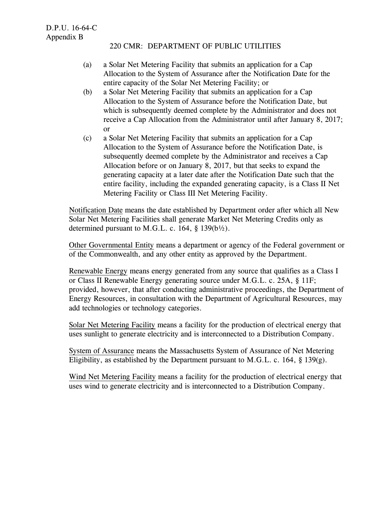- (a) a Solar Net Metering Facility that submits an application for a Cap Allocation to the System of Assurance after the Notification Date for the entire capacity of the Solar Net Metering Facility; or
- (b) a Solar Net Metering Facility that submits an application for a Cap Allocation to the System of Assurance before the Notification Date, but which is subsequently deemed complete by the Administrator and does not receive a Cap Allocation from the Administrator until after January 8, 2017; or
- (c) a Solar Net Metering Facility that submits an application for a Cap Allocation to the System of Assurance before the Notification Date, is subsequently deemed complete by the Administrator and receives a Cap Allocation before or on January 8, 2017, but that seeks to expand the generating capacity at a later date after the Notification Date such that the entire facility, including the expanded generating capacity, is a Class II Net Metering Facility or Class III Net Metering Facility.

Notification Date means the date established by Department order after which all New Solar Net Metering Facilities shall generate Market Net Metering Credits only as determined pursuant to M.G.L. c. 164,  $\S$  139(b $\frac{1}{2}$ ).

Other Governmental Entity means a department or agency of the Federal government or of the Commonwealth, and any other entity as approved by the Department.

Renewable Energy means energy generated from any source that qualifies as a Class I or Class II Renewable Energy generating source under M.G.L. c. 25A, § 11F; provided, however, that after conducting administrative proceedings, the Department of Energy Resources, in consultation with the Department of Agricultural Resources, may add technologies or technology categories.

Solar Net Metering Facility means a facility for the production of electrical energy that uses sunlight to generate electricity and is interconnected to a Distribution Company.

System of Assurance means the Massachusetts System of Assurance of Net Metering Eligibility, as established by the Department pursuant to M.G.L. c. 164, § 139(g).

Wind Net Metering Facility means a facility for the production of electrical energy that uses wind to generate electricity and is interconnected to a Distribution Company.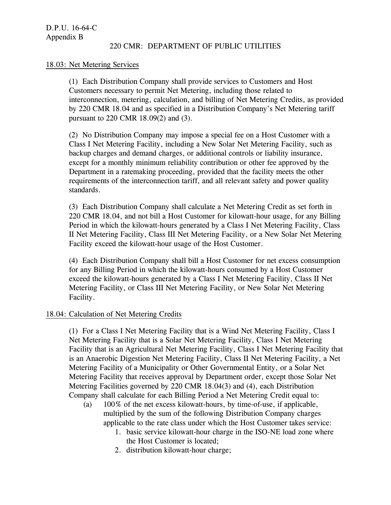### 18.03: Net Metering Services

(1) Each Distribution Company shall provide services to Customers and Host Customers necessary to permit Net Metering, including those related to interconnection, metering, calculation, and billing of Net Metering Credits, as provided by 220 CMR 18.04 and as specified in a Distribution Company's Net Metering tariff pursuant to 220 CMR 18.09(2) and (3).

(2) No Distribution Company may impose a special fee on a Host Customer with a Class I Net Metering Facility, including a New Solar Net Metering Facility, such as backup charges and demand charges, or additional controls or liability insurance, except for a monthly minimum reliability contribution or other fee approved by the Department in a ratemaking proceeding, provided that the facility meets the other requirements of the interconnection tariff, and all relevant safety and power quality standards.

(3) Each Distribution Company shall calculate a Net Metering Credit as set forth in 220 CMR 18.04, and not bill a Host Customer for kilowatt-hour usage, for any Billing Period in which the kilowatt-hours generated by a Class I Net Metering Facility, Class II Net Metering Facility, Class III Net Metering Facility, or a New Solar Net Metering Facility exceed the kilowatt-hour usage of the Host Customer.

(4) Each Distribution Company shall bill a Host Customer for net excess consumption for any Billing Period in which the kilowatt-hours consumed by a Host Customer exceed the kilowatt-hours generated by a Class I Net Metering Facility, Class II Net Metering Facility, or Class III Net Metering Facility, or New Solar Net Metering Facility.

#### 18.04: Calculation of Net Metering Credits

(1) For a Class I Net Metering Facility that is a Wind Net Metering Facility, Class I Net Metering Facility that is a Solar Net Metering Facility, Class I Net Metering Facility that is an Agricultural Net Metering Facility, Class I Net Metering Facility that is an Anaerobic Digestion Net Metering Facility, Class II Net Metering Facility, a Net Metering Facility of a Municipality or Other Governmental Entity, or a Solar Net Metering Facility that receives approval by Department order, except those Solar Net Metering Facilities governed by 220 CMR 18.04(3) and (4), each Distribution Company shall calculate for each Billing Period a Net Metering Credit equal to:

- (a) 100% of the net excess kilowatt-hours, by time-of-use, if applicable, multiplied by the sum of the following Distribution Company charges applicable to the rate class under which the Host Customer takes service:
	- 1. basic service kilowatt-hour charge in the ISO-NE load zone where the Host Customer is located;
	- 2. distribution kilowatt-hour charge;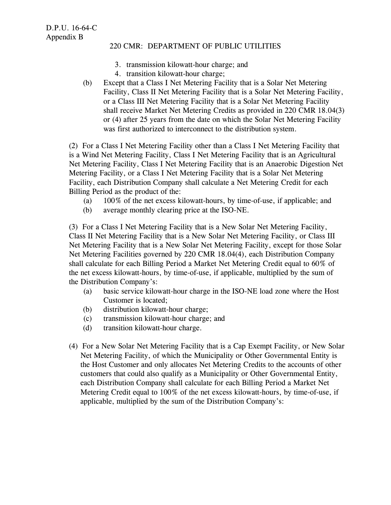- 3. transmission kilowatt-hour charge; and
- 4. transition kilowatt-hour charge;
- (b) Except that a Class I Net Metering Facility that is a Solar Net Metering Facility, Class II Net Metering Facility that is a Solar Net Metering Facility, or a Class III Net Metering Facility that is a Solar Net Metering Facility shall receive Market Net Metering Credits as provided in 220 CMR 18.04(3) or (4) after 25 years from the date on which the Solar Net Metering Facility was first authorized to interconnect to the distribution system.

(2) For a Class I Net Metering Facility other than a Class I Net Metering Facility that is a Wind Net Metering Facility, Class I Net Metering Facility that is an Agricultural Net Metering Facility, Class I Net Metering Facility that is an Anaerobic Digestion Net Metering Facility, or a Class I Net Metering Facility that is a Solar Net Metering Facility, each Distribution Company shall calculate a Net Metering Credit for each Billing Period as the product of the:

- (a) 100% of the net excess kilowatt-hours, by time-of-use, if applicable; and
- (b) average monthly clearing price at the ISO-NE.

(3) For a Class I Net Metering Facility that is a New Solar Net Metering Facility, Class II Net Metering Facility that is a New Solar Net Metering Facility, or Class III Net Metering Facility that is a New Solar Net Metering Facility, except for those Solar Net Metering Facilities governed by 220 CMR 18.04(4), each Distribution Company shall calculate for each Billing Period a Market Net Metering Credit equal to 60% of the net excess kilowatt-hours, by time-of-use, if applicable, multiplied by the sum of the Distribution Company's:

- (a) basic service kilowatt-hour charge in the ISO-NE load zone where the Host Customer is located;
- (b) distribution kilowatt-hour charge;
- (c) transmission kilowatt-hour charge; and
- (d) transition kilowatt-hour charge.
- (4) For a New Solar Net Metering Facility that is a Cap Exempt Facility, or New Solar Net Metering Facility, of which the Municipality or Other Governmental Entity is the Host Customer and only allocates Net Metering Credits to the accounts of other customers that could also qualify as a Municipality or Other Governmental Entity, each Distribution Company shall calculate for each Billing Period a Market Net Metering Credit equal to 100% of the net excess kilowatt-hours, by time-of-use, if applicable, multiplied by the sum of the Distribution Company's: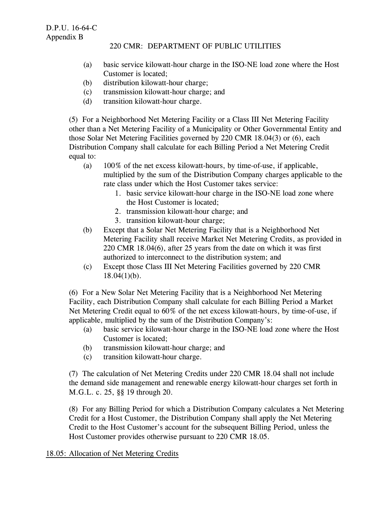- (a) basic service kilowatt-hour charge in the ISO-NE load zone where the Host Customer is located;
- (b) distribution kilowatt-hour charge;
- (c) transmission kilowatt-hour charge; and
- (d) transition kilowatt-hour charge.

(5) For a Neighborhood Net Metering Facility or a Class III Net Metering Facility other than a Net Metering Facility of a Municipality or Other Governmental Entity and those Solar Net Metering Facilities governed by 220 CMR 18.04(3) or (6), each Distribution Company shall calculate for each Billing Period a Net Metering Credit equal to:

- (a) 100% of the net excess kilowatt-hours, by time-of-use, if applicable, multiplied by the sum of the Distribution Company charges applicable to the rate class under which the Host Customer takes service:
	- 1. basic service kilowatt-hour charge in the ISO-NE load zone where the Host Customer is located;
	- 2. transmission kilowatt-hour charge; and
	- 3. transition kilowatt-hour charge;
- (b) Except that a Solar Net Metering Facility that is a Neighborhood Net Metering Facility shall receive Market Net Metering Credits, as provided in 220 CMR 18.04(6), after 25 years from the date on which it was first authorized to interconnect to the distribution system; and
- (c) Except those Class III Net Metering Facilities governed by 220 CMR  $18.04(1)(b)$ .

(6) For a New Solar Net Metering Facility that is a Neighborhood Net Metering Facility, each Distribution Company shall calculate for each Billing Period a Market Net Metering Credit equal to 60% of the net excess kilowatt-hours, by time-of-use, if applicable, multiplied by the sum of the Distribution Company's:

- (a) basic service kilowatt-hour charge in the ISO-NE load zone where the Host Customer is located;
- (b) transmission kilowatt-hour charge; and
- (c) transition kilowatt-hour charge.

(7) The calculation of Net Metering Credits under 220 CMR 18.04 shall not include the demand side management and renewable energy kilowatt-hour charges set forth in M.G.L. c. 25, §§ 19 through 20.

(8) For any Billing Period for which a Distribution Company calculates a Net Metering Credit for a Host Customer, the Distribution Company shall apply the Net Metering Credit to the Host Customer's account for the subsequent Billing Period, unless the Host Customer provides otherwise pursuant to 220 CMR 18.05.

# 18.05: Allocation of Net Metering Credits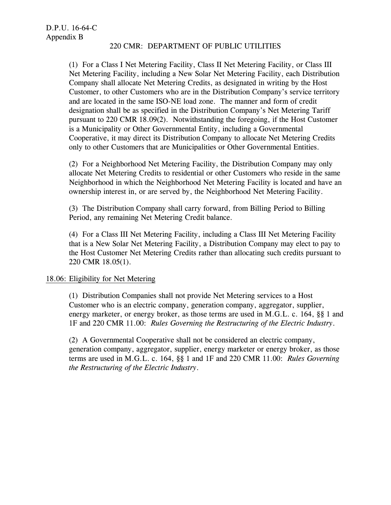(1) For a Class I Net Metering Facility, Class II Net Metering Facility, or Class III Net Metering Facility, including a New Solar Net Metering Facility, each Distribution Company shall allocate Net Metering Credits, as designated in writing by the Host Customer, to other Customers who are in the Distribution Company's service territory and are located in the same ISO-NE load zone. The manner and form of credit designation shall be as specified in the Distribution Company's Net Metering Tariff pursuant to 220 CMR 18.09(2). Notwithstanding the foregoing, if the Host Customer is a Municipality or Other Governmental Entity, including a Governmental Cooperative, it may direct its Distribution Company to allocate Net Metering Credits only to other Customers that are Municipalities or Other Governmental Entities.

(2) For a Neighborhood Net Metering Facility, the Distribution Company may only allocate Net Metering Credits to residential or other Customers who reside in the same Neighborhood in which the Neighborhood Net Metering Facility is located and have an ownership interest in, or are served by, the Neighborhood Net Metering Facility.

(3) The Distribution Company shall carry forward, from Billing Period to Billing Period, any remaining Net Metering Credit balance.

(4) For a Class III Net Metering Facility, including a Class III Net Metering Facility that is a New Solar Net Metering Facility, a Distribution Company may elect to pay to the Host Customer Net Metering Credits rather than allocating such credits pursuant to 220 CMR 18.05(1).

# 18.06: Eligibility for Net Metering

(1) Distribution Companies shall not provide Net Metering services to a Host Customer who is an electric company, generation company, aggregator, supplier, energy marketer, or energy broker, as those terms are used in M.G.L. c. 164, §§ 1 and 1F and 220 CMR 11.00: *Rules Governing the Restructuring of the Electric Industry*.

(2) A Governmental Cooperative shall not be considered an electric company, generation company, aggregator, supplier, energy marketer or energy broker, as those terms are used in M.G.L. c. 164, §§ 1 and 1F and 220 CMR 11.00: *Rules Governing the Restructuring of the Electric Industry*.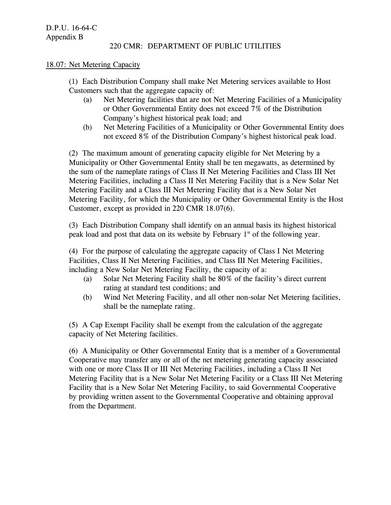#### 18.07: Net Metering Capacity

(1) Each Distribution Company shall make Net Metering services available to Host Customers such that the aggregate capacity of:

- (a) Net Metering facilities that are not Net Metering Facilities of a Municipality or Other Governmental Entity does not exceed 7% of the Distribution Company's highest historical peak load; and
- (b) Net Metering Facilities of a Municipality or Other Governmental Entity does not exceed 8% of the Distribution Company's highest historical peak load.

(2) The maximum amount of generating capacity eligible for Net Metering by a Municipality or Other Governmental Entity shall be ten megawatts, as determined by the sum of the nameplate ratings of Class II Net Metering Facilities and Class III Net Metering Facilities, including a Class II Net Metering Facility that is a New Solar Net Metering Facility and a Class III Net Metering Facility that is a New Solar Net Metering Facility, for which the Municipality or Other Governmental Entity is the Host Customer, except as provided in 220 CMR 18.07(6).

(3) Each Distribution Company shall identify on an annual basis its highest historical peak load and post that data on its website by February  $1<sup>st</sup>$  of the following year.

(4) For the purpose of calculating the aggregate capacity of Class I Net Metering Facilities, Class II Net Metering Facilities, and Class III Net Metering Facilities, including a New Solar Net Metering Facility, the capacity of a:

- (a) Solar Net Metering Facility shall be 80% of the facility's direct current rating at standard test conditions; and
- (b) Wind Net Metering Facility, and all other non-solar Net Metering facilities, shall be the nameplate rating.

(5) A Cap Exempt Facility shall be exempt from the calculation of the aggregate capacity of Net Metering facilities.

(6) A Municipality or Other Governmental Entity that is a member of a Governmental Cooperative may transfer any or all of the net metering generating capacity associated with one or more Class II or III Net Metering Facilities, including a Class II Net Metering Facility that is a New Solar Net Metering Facility or a Class III Net Metering Facility that is a New Solar Net Metering Facility, to said Governmental Cooperative by providing written assent to the Governmental Cooperative and obtaining approval from the Department.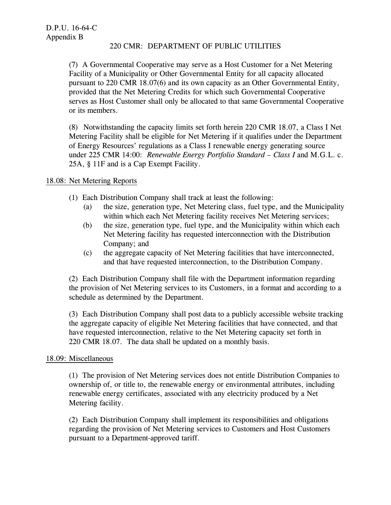(7) A Governmental Cooperative may serve as a Host Customer for a Net Metering Facility of a Municipality or Other Governmental Entity for all capacity allocated pursuant to 220 CMR 18.07(6) and its own capacity as an Other Governmental Entity, provided that the Net Metering Credits for which such Governmental Cooperative serves as Host Customer shall only be allocated to that same Governmental Cooperative or its members.

(8) Notwithstanding the capacity limits set forth herein 220 CMR 18.07, a Class I Net Metering Facility shall be eligible for Net Metering if it qualifies under the Department of Energy Resources' regulations as a Class I renewable energy generating source under 225 CMR 14:00: *Renewable Energy Portfolio Standard – Class I* and M.G.L. c. 25A, § 11F and is a Cap Exempt Facility.

## 18.08: Net Metering Reports

- (1) Each Distribution Company shall track at least the following:
	- (a) the size, generation type, Net Metering class, fuel type, and the Municipality within which each Net Metering facility receives Net Metering services;
	- (b) the size, generation type, fuel type, and the Municipality within which each Net Metering facility has requested interconnection with the Distribution Company; and
	- (c) the aggregate capacity of Net Metering facilities that have interconnected, and that have requested interconnection, to the Distribution Company.

(2) Each Distribution Company shall file with the Department information regarding the provision of Net Metering services to its Customers, in a format and according to a schedule as determined by the Department.

(3) Each Distribution Company shall post data to a publicly accessible website tracking the aggregate capacity of eligible Net Metering facilities that have connected, and that have requested interconnection, relative to the Net Metering capacity set forth in 220 CMR 18.07. The data shall be updated on a monthly basis.

#### 18.09: Miscellaneous

(1) The provision of Net Metering services does not entitle Distribution Companies to ownership of, or title to, the renewable energy or environmental attributes, including renewable energy certificates, associated with any electricity produced by a Net Metering facility.

(2) Each Distribution Company shall implement its responsibilities and obligations regarding the provision of Net Metering services to Customers and Host Customers pursuant to a Department-approved tariff.